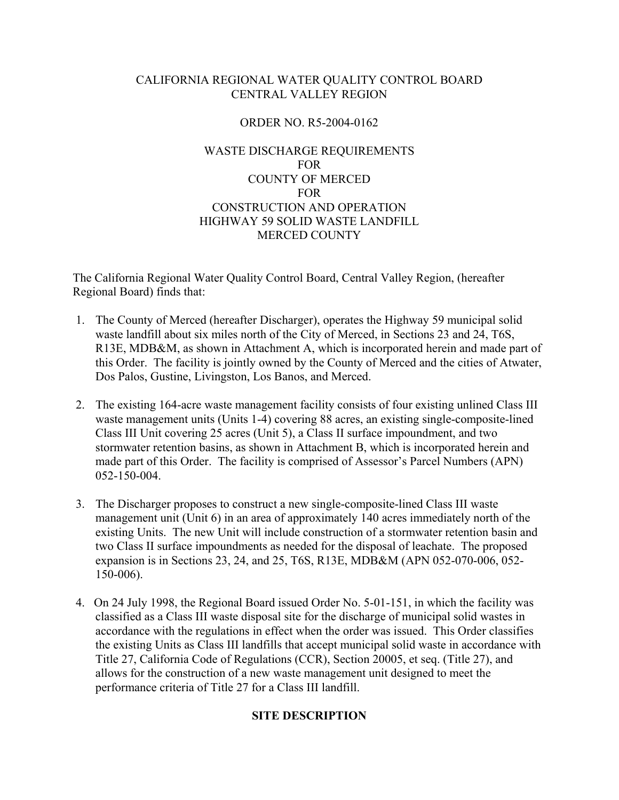## CALIFORNIA REGIONAL WATER QUALITY CONTROL BOARD CENTRAL VALLEY REGION

## ORDER NO. R5-2004-0162

## WASTE DISCHARGE REQUIREMENTS FOR COUNTY OF MERCED FOR CONSTRUCTION AND OPERATION HIGHWAY 59 SOLID WASTE LANDFILL MERCED COUNTY

The California Regional Water Quality Control Board, Central Valley Region, (hereafter Regional Board) finds that:

- 1. The County of Merced (hereafter Discharger), operates the Highway 59 municipal solid waste landfill about six miles north of the City of Merced, in Sections 23 and 24, T6S, R13E, MDB&M, as shown in Attachment A, which is incorporated herein and made part of this Order. The facility is jointly owned by the County of Merced and the cities of Atwater, Dos Palos, Gustine, Livingston, Los Banos, and Merced.
- 2. The existing 164-acre waste management facility consists of four existing unlined Class III waste management units (Units 1-4) covering 88 acres, an existing single-composite-lined Class III Unit covering 25 acres (Unit 5), a Class II surface impoundment, and two stormwater retention basins, as shown in Attachment B, which is incorporated herein and made part of this Order. The facility is comprised of Assessor's Parcel Numbers (APN) 052-150-004.
- 3. The Discharger proposes to construct a new single-composite-lined Class III waste management unit (Unit 6) in an area of approximately 140 acres immediately north of the existing Units. The new Unit will include construction of a stormwater retention basin and two Class II surface impoundments as needed for the disposal of leachate. The proposed expansion is in Sections 23, 24, and 25, T6S, R13E, MDB&M (APN 052-070-006, 052- 150-006).
- 4. On 24 July 1998, the Regional Board issued Order No. 5-01-151, in which the facility was classified as a Class III waste disposal site for the discharge of municipal solid wastes in accordance with the regulations in effect when the order was issued. This Order classifies the existing Units as Class III landfills that accept municipal solid waste in accordance with Title 27, California Code of Regulations (CCR), Section 20005, et seq. (Title 27), and allows for the construction of a new waste management unit designed to meet the performance criteria of Title 27 for a Class III landfill.

#### **SITE DESCRIPTION**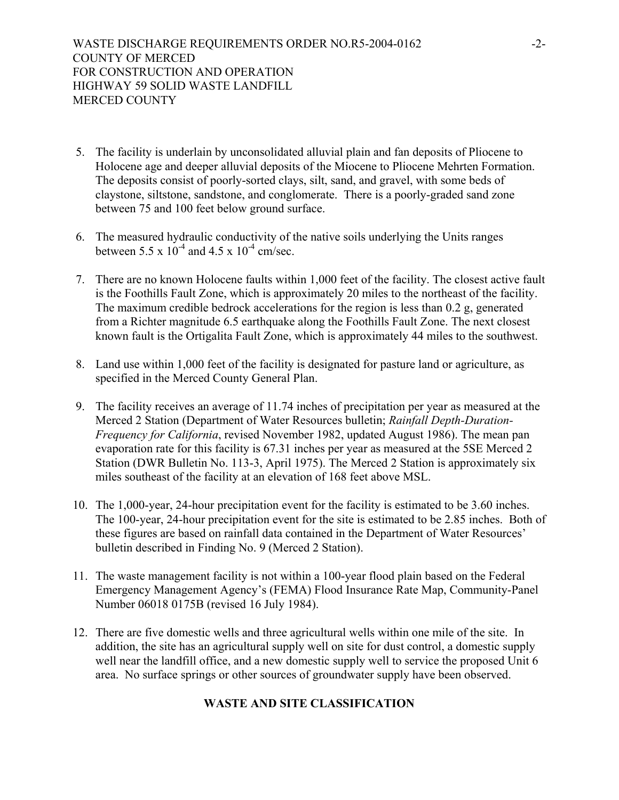- 5. The facility is underlain by unconsolidated alluvial plain and fan deposits of Pliocene to Holocene age and deeper alluvial deposits of the Miocene to Pliocene Mehrten Formation. The deposits consist of poorly-sorted clays, silt, sand, and gravel, with some beds of claystone, siltstone, sandstone, and conglomerate. There is a poorly-graded sand zone between 75 and 100 feet below ground surface.
- 6. The measured hydraulic conductivity of the native soils underlying the Units ranges between 5.5 x  $10^{-4}$  and 4.5 x  $10^{-4}$  cm/sec.
- 7. There are no known Holocene faults within 1,000 feet of the facility. The closest active fault is the Foothills Fault Zone, which is approximately 20 miles to the northeast of the facility. The maximum credible bedrock accelerations for the region is less than 0.2 g, generated from a Richter magnitude 6.5 earthquake along the Foothills Fault Zone. The next closest known fault is the Ortigalita Fault Zone, which is approximately 44 miles to the southwest.
- 8. Land use within 1,000 feet of the facility is designated for pasture land or agriculture, as specified in the Merced County General Plan.
- 9. The facility receives an average of 11.74 inches of precipitation per year as measured at the Merced 2 Station (Department of Water Resources bulletin; *Rainfall Depth-Duration-Frequency for California*, revised November 1982, updated August 1986). The mean pan evaporation rate for this facility is 67.31 inches per year as measured at the 5SE Merced 2 Station (DWR Bulletin No. 113-3, April 1975). The Merced 2 Station is approximately six miles southeast of the facility at an elevation of 168 feet above MSL.
- 10. The 1,000-year, 24-hour precipitation event for the facility is estimated to be 3.60 inches. The 100-year, 24-hour precipitation event for the site is estimated to be 2.85 inches. Both of these figures are based on rainfall data contained in the Department of Water Resources' bulletin described in Finding No. 9 (Merced 2 Station).
- 11. The waste management facility is not within a 100-year flood plain based on the Federal Emergency Management Agency's (FEMA) Flood Insurance Rate Map, Community-Panel Number 06018 0175B (revised 16 July 1984).
- 12. There are five domestic wells and three agricultural wells within one mile of the site. In addition, the site has an agricultural supply well on site for dust control, a domestic supply well near the landfill office, and a new domestic supply well to service the proposed Unit 6 area. No surface springs or other sources of groundwater supply have been observed.

## **WASTE AND SITE CLASSIFICATION**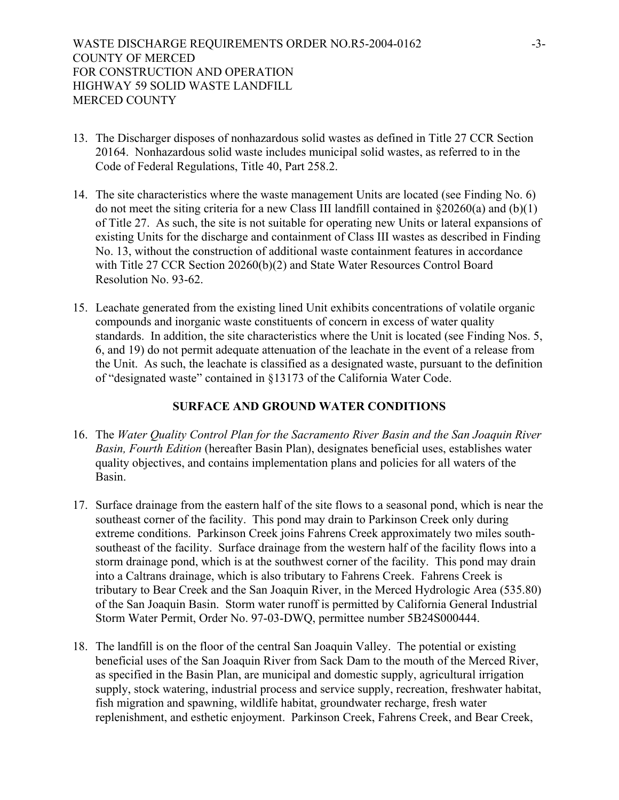- 13. The Discharger disposes of nonhazardous solid wastes as defined in Title 27 CCR Section 20164. Nonhazardous solid waste includes municipal solid wastes, as referred to in the Code of Federal Regulations, Title 40, Part 258.2.
- 14. The site characteristics where the waste management Units are located (see Finding No. 6) do not meet the siting criteria for a new Class III landfill contained in  $\S 20260(a)$  and (b)(1) of Title 27. As such, the site is not suitable for operating new Units or lateral expansions of existing Units for the discharge and containment of Class III wastes as described in Finding No. 13, without the construction of additional waste containment features in accordance with Title 27 CCR Section 20260(b)(2) and State Water Resources Control Board Resolution No. 93-62.
- 15. Leachate generated from the existing lined Unit exhibits concentrations of volatile organic compounds and inorganic waste constituents of concern in excess of water quality standards. In addition, the site characteristics where the Unit is located (see Finding Nos. 5, 6, and 19) do not permit adequate attenuation of the leachate in the event of a release from the Unit. As such, the leachate is classified as a designated waste, pursuant to the definition of "designated waste" contained in §13173 of the California Water Code.

## **SURFACE AND GROUND WATER CONDITIONS**

- 16. The *Water Quality Control Plan for the Sacramento River Basin and the San Joaquin River Basin, Fourth Edition* (hereafter Basin Plan), designates beneficial uses, establishes water quality objectives, and contains implementation plans and policies for all waters of the Basin.
- 17. Surface drainage from the eastern half of the site flows to a seasonal pond, which is near the southeast corner of the facility. This pond may drain to Parkinson Creek only during extreme conditions. Parkinson Creek joins Fahrens Creek approximately two miles southsoutheast of the facility. Surface drainage from the western half of the facility flows into a storm drainage pond, which is at the southwest corner of the facility. This pond may drain into a Caltrans drainage, which is also tributary to Fahrens Creek. Fahrens Creek is tributary to Bear Creek and the San Joaquin River, in the Merced Hydrologic Area (535.80) of the San Joaquin Basin. Storm water runoff is permitted by California General Industrial Storm Water Permit, Order No. 97-03-DWQ, permittee number 5B24S000444.
- 18. The landfill is on the floor of the central San Joaquin Valley. The potential or existing beneficial uses of the San Joaquin River from Sack Dam to the mouth of the Merced River, as specified in the Basin Plan, are municipal and domestic supply, agricultural irrigation supply, stock watering, industrial process and service supply, recreation, freshwater habitat, fish migration and spawning, wildlife habitat, groundwater recharge, fresh water replenishment, and esthetic enjoyment. Parkinson Creek, Fahrens Creek, and Bear Creek,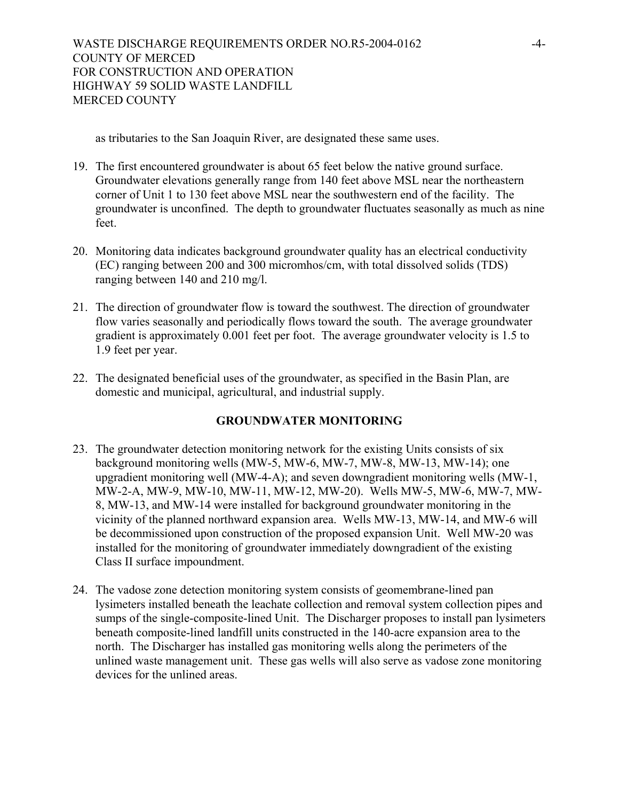as tributaries to the San Joaquin River, are designated these same uses.

- 19. The first encountered groundwater is about 65 feet below the native ground surface. Groundwater elevations generally range from 140 feet above MSL near the northeastern corner of Unit 1 to 130 feet above MSL near the southwestern end of the facility. The groundwater is unconfined. The depth to groundwater fluctuates seasonally as much as nine feet.
- 20. Monitoring data indicates background groundwater quality has an electrical conductivity (EC) ranging between 200 and 300 micromhos/cm, with total dissolved solids (TDS) ranging between 140 and 210 mg/l.
- 21. The direction of groundwater flow is toward the southwest. The direction of groundwater flow varies seasonally and periodically flows toward the south. The average groundwater gradient is approximately 0.001 feet per foot. The average groundwater velocity is 1.5 to 1.9 feet per year.
- 22. The designated beneficial uses of the groundwater, as specified in the Basin Plan, are domestic and municipal, agricultural, and industrial supply.

## **GROUNDWATER MONITORING**

- 23. The groundwater detection monitoring network for the existing Units consists of six background monitoring wells (MW-5, MW-6, MW-7, MW-8, MW-13, MW-14); one upgradient monitoring well (MW-4-A); and seven downgradient monitoring wells (MW-1, MW-2-A, MW-9, MW-10, MW-11, MW-12, MW-20). Wells MW-5, MW-6, MW-7, MW-8, MW-13, and MW-14 were installed for background groundwater monitoring in the vicinity of the planned northward expansion area. Wells MW-13, MW-14, and MW-6 will be decommissioned upon construction of the proposed expansion Unit. Well MW-20 was installed for the monitoring of groundwater immediately downgradient of the existing Class II surface impoundment.
- 24. The vadose zone detection monitoring system consists of geomembrane-lined pan lysimeters installed beneath the leachate collection and removal system collection pipes and sumps of the single-composite-lined Unit. The Discharger proposes to install pan lysimeters beneath composite-lined landfill units constructed in the 140-acre expansion area to the north. The Discharger has installed gas monitoring wells along the perimeters of the unlined waste management unit. These gas wells will also serve as vadose zone monitoring devices for the unlined areas.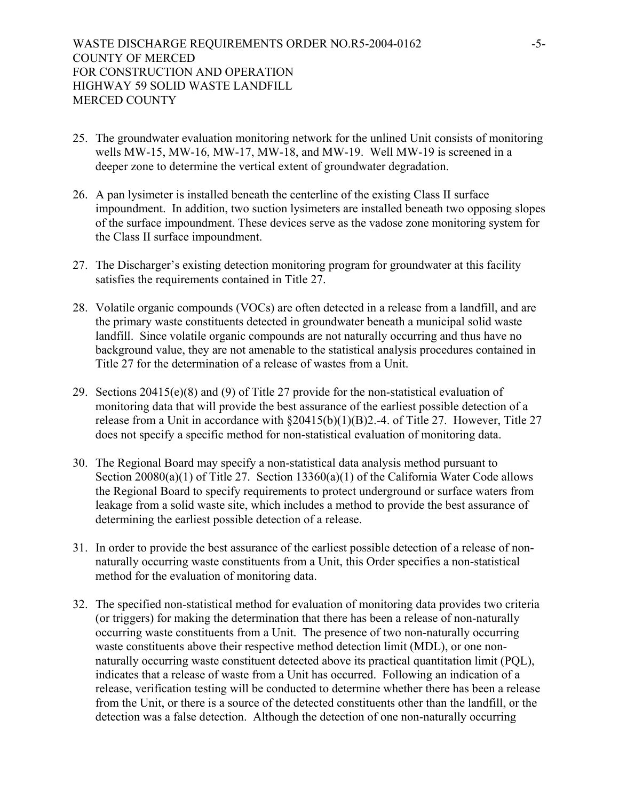- 25. The groundwater evaluation monitoring network for the unlined Unit consists of monitoring wells MW-15, MW-16, MW-17, MW-18, and MW-19. Well MW-19 is screened in a deeper zone to determine the vertical extent of groundwater degradation.
- 26. A pan lysimeter is installed beneath the centerline of the existing Class II surface impoundment. In addition, two suction lysimeters are installed beneath two opposing slopes of the surface impoundment. These devices serve as the vadose zone monitoring system for the Class II surface impoundment.
- 27. The Discharger's existing detection monitoring program for groundwater at this facility satisfies the requirements contained in Title 27.
- 28. Volatile organic compounds (VOCs) are often detected in a release from a landfill, and are the primary waste constituents detected in groundwater beneath a municipal solid waste landfill. Since volatile organic compounds are not naturally occurring and thus have no background value, they are not amenable to the statistical analysis procedures contained in Title 27 for the determination of a release of wastes from a Unit.
- 29. Sections 20415(e)(8) and (9) of Title 27 provide for the non-statistical evaluation of monitoring data that will provide the best assurance of the earliest possible detection of a release from a Unit in accordance with §20415(b)(1)(B)2.-4. of Title 27. However, Title 27 does not specify a specific method for non-statistical evaluation of monitoring data.
- 30. The Regional Board may specify a non-statistical data analysis method pursuant to Section 20080(a)(1) of Title 27. Section 13360(a)(1) of the California Water Code allows the Regional Board to specify requirements to protect underground or surface waters from leakage from a solid waste site, which includes a method to provide the best assurance of determining the earliest possible detection of a release.
- 31. In order to provide the best assurance of the earliest possible detection of a release of nonnaturally occurring waste constituents from a Unit, this Order specifies a non-statistical method for the evaluation of monitoring data.
- 32. The specified non-statistical method for evaluation of monitoring data provides two criteria (or triggers) for making the determination that there has been a release of non-naturally occurring waste constituents from a Unit. The presence of two non-naturally occurring waste constituents above their respective method detection limit (MDL), or one nonnaturally occurring waste constituent detected above its practical quantitation limit (PQL), indicates that a release of waste from a Unit has occurred. Following an indication of a release, verification testing will be conducted to determine whether there has been a release from the Unit, or there is a source of the detected constituents other than the landfill, or the detection was a false detection. Although the detection of one non-naturally occurring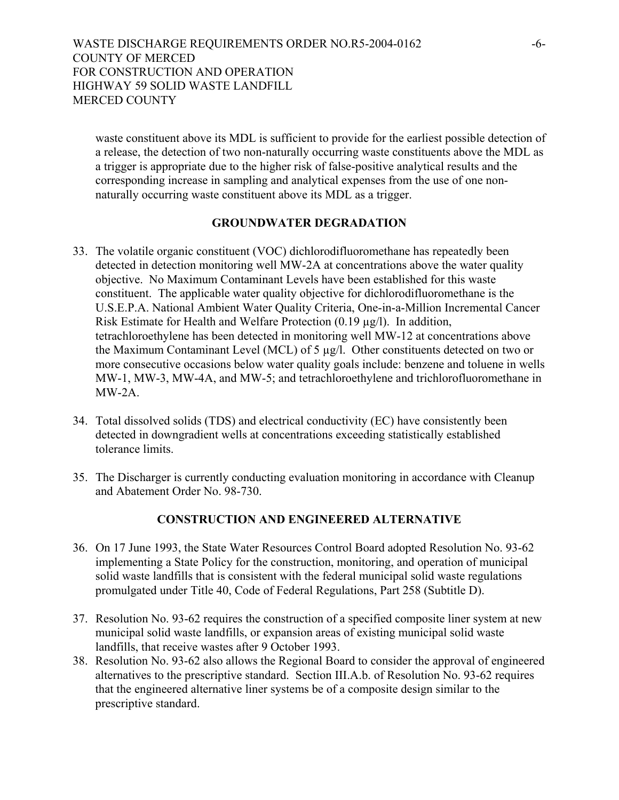## WASTE DISCHARGE REQUIREMENTS ORDER NO.R5-2004-0162 COUNTY OF MERCED FOR CONSTRUCTION AND OPERATION HIGHWAY 59 SOLID WASTE LANDFILL MERCED COUNTY

waste constituent above its MDL is sufficient to provide for the earliest possible detection of a release, the detection of two non-naturally occurring waste constituents above the MDL as a trigger is appropriate due to the higher risk of false-positive analytical results and the corresponding increase in sampling and analytical expenses from the use of one nonnaturally occurring waste constituent above its MDL as a trigger.

#### **GROUNDWATER DEGRADATION**

- 33. The volatile organic constituent (VOC) dichlorodifluoromethane has repeatedly been detected in detection monitoring well MW-2A at concentrations above the water quality objective. No Maximum Contaminant Levels have been established for this waste constituent. The applicable water quality objective for dichlorodifluoromethane is the U.S.E.P.A. National Ambient Water Quality Criteria, One-in-a-Million Incremental Cancer Risk Estimate for Health and Welfare Protection (0.19 µg/l). In addition, tetrachloroethylene has been detected in monitoring well MW-12 at concentrations above the Maximum Contaminant Level (MCL) of 5 µg/l. Other constituents detected on two or more consecutive occasions below water quality goals include: benzene and toluene in wells MW-1, MW-3, MW-4A, and MW-5; and tetrachloroethylene and trichlorofluoromethane in MW-2A.
- 34. Total dissolved solids (TDS) and electrical conductivity (EC) have consistently been detected in downgradient wells at concentrations exceeding statistically established tolerance limits.
- 35. The Discharger is currently conducting evaluation monitoring in accordance with Cleanup and Abatement Order No. 98-730.

## **CONSTRUCTION AND ENGINEERED ALTERNATIVE**

- 36. On 17 June 1993, the State Water Resources Control Board adopted Resolution No. 93-62 implementing a State Policy for the construction, monitoring, and operation of municipal solid waste landfills that is consistent with the federal municipal solid waste regulations promulgated under Title 40, Code of Federal Regulations, Part 258 (Subtitle D).
- 37. Resolution No. 93-62 requires the construction of a specified composite liner system at new municipal solid waste landfills, or expansion areas of existing municipal solid waste landfills, that receive wastes after 9 October 1993.
- 38. Resolution No. 93-62 also allows the Regional Board to consider the approval of engineered alternatives to the prescriptive standard. Section III.A.b. of Resolution No. 93-62 requires that the engineered alternative liner systems be of a composite design similar to the prescriptive standard.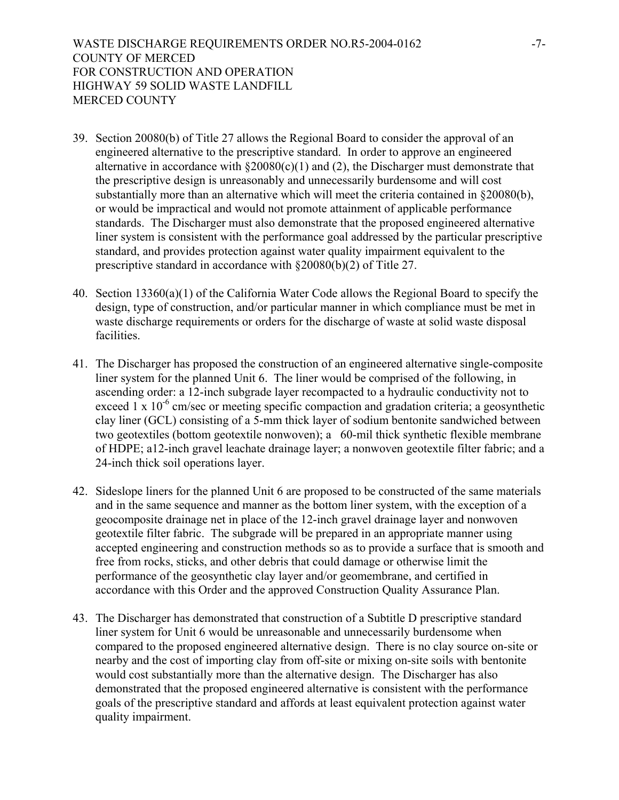- 39. Section 20080(b) of Title 27 allows the Regional Board to consider the approval of an engineered alternative to the prescriptive standard. In order to approve an engineered alternative in accordance with  $\S20080(c)(1)$  and (2), the Discharger must demonstrate that the prescriptive design is unreasonably and unnecessarily burdensome and will cost substantially more than an alternative which will meet the criteria contained in §20080(b), or would be impractical and would not promote attainment of applicable performance standards. The Discharger must also demonstrate that the proposed engineered alternative liner system is consistent with the performance goal addressed by the particular prescriptive standard, and provides protection against water quality impairment equivalent to the prescriptive standard in accordance with §20080(b)(2) of Title 27.
- 40. Section 13360(a)(1) of the California Water Code allows the Regional Board to specify the design, type of construction, and/or particular manner in which compliance must be met in waste discharge requirements or orders for the discharge of waste at solid waste disposal facilities.
- 41. The Discharger has proposed the construction of an engineered alternative single-composite liner system for the planned Unit 6. The liner would be comprised of the following, in ascending order: a 12-inch subgrade layer recompacted to a hydraulic conductivity not to exceed  $1 \times 10^{-6}$  cm/sec or meeting specific compaction and gradation criteria; a geosynthetic clay liner (GCL) consisting of a 5-mm thick layer of sodium bentonite sandwiched between two geotextiles (bottom geotextile nonwoven); a 60-mil thick synthetic flexible membrane of HDPE; a12-inch gravel leachate drainage layer; a nonwoven geotextile filter fabric; and a 24-inch thick soil operations layer.
- 42. Sideslope liners for the planned Unit 6 are proposed to be constructed of the same materials and in the same sequence and manner as the bottom liner system, with the exception of a geocomposite drainage net in place of the 12-inch gravel drainage layer and nonwoven geotextile filter fabric. The subgrade will be prepared in an appropriate manner using accepted engineering and construction methods so as to provide a surface that is smooth and free from rocks, sticks, and other debris that could damage or otherwise limit the performance of the geosynthetic clay layer and/or geomembrane, and certified in accordance with this Order and the approved Construction Quality Assurance Plan.
- 43. The Discharger has demonstrated that construction of a Subtitle D prescriptive standard liner system for Unit 6 would be unreasonable and unnecessarily burdensome when compared to the proposed engineered alternative design. There is no clay source on-site or nearby and the cost of importing clay from off-site or mixing on-site soils with bentonite would cost substantially more than the alternative design. The Discharger has also demonstrated that the proposed engineered alternative is consistent with the performance goals of the prescriptive standard and affords at least equivalent protection against water quality impairment.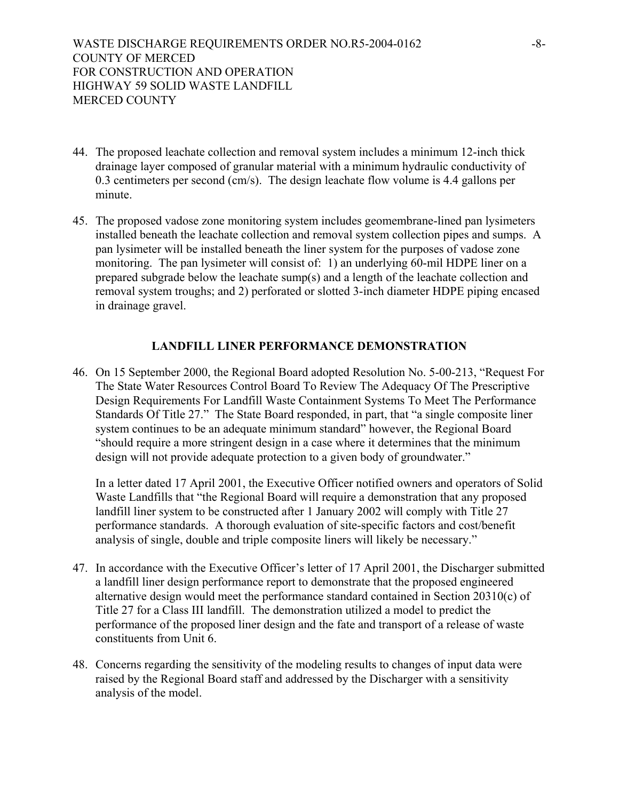- 44. The proposed leachate collection and removal system includes a minimum 12-inch thick drainage layer composed of granular material with a minimum hydraulic conductivity of 0.3 centimeters per second (cm/s). The design leachate flow volume is 4.4 gallons per minute.
- 45. The proposed vadose zone monitoring system includes geomembrane-lined pan lysimeters installed beneath the leachate collection and removal system collection pipes and sumps. A pan lysimeter will be installed beneath the liner system for the purposes of vadose zone monitoring. The pan lysimeter will consist of: 1) an underlying 60-mil HDPE liner on a prepared subgrade below the leachate sump(s) and a length of the leachate collection and removal system troughs; and 2) perforated or slotted 3-inch diameter HDPE piping encased in drainage gravel.

#### **LANDFILL LINER PERFORMANCE DEMONSTRATION**

46. On 15 September 2000, the Regional Board adopted Resolution No. 5-00-213, "Request For The State Water Resources Control Board To Review The Adequacy Of The Prescriptive Design Requirements For Landfill Waste Containment Systems To Meet The Performance Standards Of Title 27." The State Board responded, in part, that "a single composite liner system continues to be an adequate minimum standard" however, the Regional Board "should require a more stringent design in a case where it determines that the minimum design will not provide adequate protection to a given body of groundwater."

In a letter dated 17 April 2001, the Executive Officer notified owners and operators of Solid Waste Landfills that "the Regional Board will require a demonstration that any proposed landfill liner system to be constructed after 1 January 2002 will comply with Title 27 performance standards. A thorough evaluation of site-specific factors and cost/benefit analysis of single, double and triple composite liners will likely be necessary."

- 47. In accordance with the Executive Officer's letter of 17 April 2001, the Discharger submitted a landfill liner design performance report to demonstrate that the proposed engineered alternative design would meet the performance standard contained in Section 20310(c) of Title 27 for a Class III landfill. The demonstration utilized a model to predict the performance of the proposed liner design and the fate and transport of a release of waste constituents from Unit 6.
- 48. Concerns regarding the sensitivity of the modeling results to changes of input data were raised by the Regional Board staff and addressed by the Discharger with a sensitivity analysis of the model.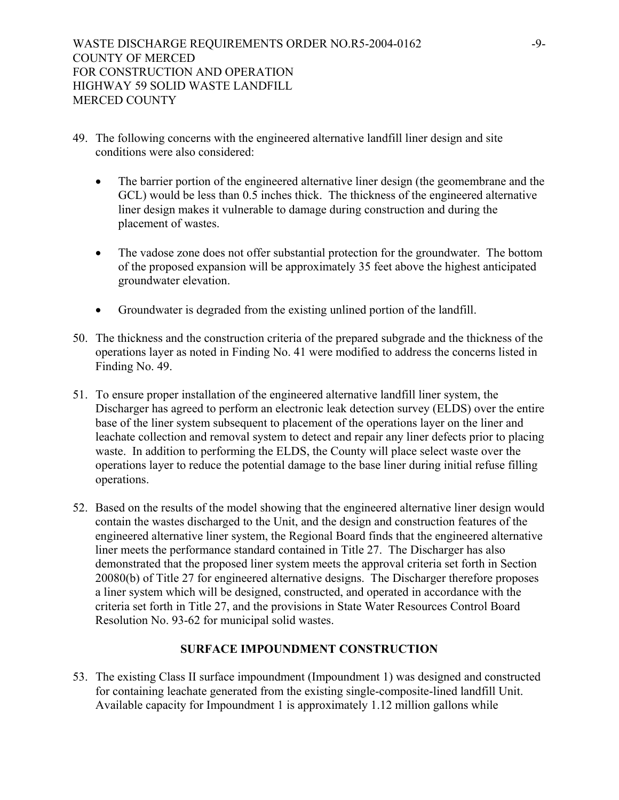- 49. The following concerns with the engineered alternative landfill liner design and site conditions were also considered:
	- The barrier portion of the engineered alternative liner design (the geomembrane and the GCL) would be less than 0.5 inches thick. The thickness of the engineered alternative liner design makes it vulnerable to damage during construction and during the placement of wastes.
	- The vadose zone does not offer substantial protection for the groundwater. The bottom of the proposed expansion will be approximately 35 feet above the highest anticipated groundwater elevation.
	- Groundwater is degraded from the existing unlined portion of the landfill.
- 50. The thickness and the construction criteria of the prepared subgrade and the thickness of the operations layer as noted in Finding No. 41 were modified to address the concerns listed in Finding No. 49.
- 51. To ensure proper installation of the engineered alternative landfill liner system, the Discharger has agreed to perform an electronic leak detection survey (ELDS) over the entire base of the liner system subsequent to placement of the operations layer on the liner and leachate collection and removal system to detect and repair any liner defects prior to placing waste. In addition to performing the ELDS, the County will place select waste over the operations layer to reduce the potential damage to the base liner during initial refuse filling operations.
- 52. Based on the results of the model showing that the engineered alternative liner design would contain the wastes discharged to the Unit, and the design and construction features of the engineered alternative liner system, the Regional Board finds that the engineered alternative liner meets the performance standard contained in Title 27. The Discharger has also demonstrated that the proposed liner system meets the approval criteria set forth in Section 20080(b) of Title 27 for engineered alternative designs. The Discharger therefore proposes a liner system which will be designed, constructed, and operated in accordance with the criteria set forth in Title 27, and the provisions in State Water Resources Control Board Resolution No. 93-62 for municipal solid wastes.

#### **SURFACE IMPOUNDMENT CONSTRUCTION**

53. The existing Class II surface impoundment (Impoundment 1) was designed and constructed for containing leachate generated from the existing single-composite-lined landfill Unit. Available capacity for Impoundment 1 is approximately 1.12 million gallons while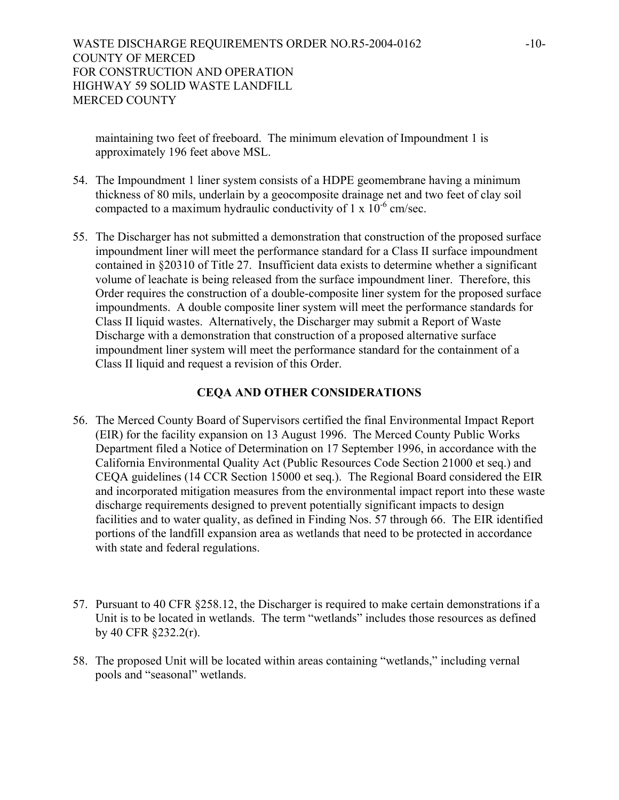WASTE DISCHARGE REQUIREMENTS ORDER NO.R5-2004-0162 COUNTY OF MERCED FOR CONSTRUCTION AND OPERATION HIGHWAY 59 SOLID WASTE LANDFILL MERCED COUNTY

maintaining two feet of freeboard. The minimum elevation of Impoundment 1 is approximately 196 feet above MSL.

- 54. The Impoundment 1 liner system consists of a HDPE geomembrane having a minimum thickness of 80 mils, underlain by a geocomposite drainage net and two feet of clay soil compacted to a maximum hydraulic conductivity of  $1 \times 10^{-6}$  cm/sec.
- 55. The Discharger has not submitted a demonstration that construction of the proposed surface impoundment liner will meet the performance standard for a Class II surface impoundment contained in §20310 of Title 27. Insufficient data exists to determine whether a significant volume of leachate is being released from the surface impoundment liner. Therefore, this Order requires the construction of a double-composite liner system for the proposed surface impoundments. A double composite liner system will meet the performance standards for Class II liquid wastes. Alternatively, the Discharger may submit a Report of Waste Discharge with a demonstration that construction of a proposed alternative surface impoundment liner system will meet the performance standard for the containment of a Class II liquid and request a revision of this Order.

#### **CEQA AND OTHER CONSIDERATIONS**

- 56. The Merced County Board of Supervisors certified the final Environmental Impact Report (EIR) for the facility expansion on 13 August 1996. The Merced County Public Works Department filed a Notice of Determination on 17 September 1996, in accordance with the California Environmental Quality Act (Public Resources Code Section 21000 et seq.) and CEQA guidelines (14 CCR Section 15000 et seq.). The Regional Board considered the EIR and incorporated mitigation measures from the environmental impact report into these waste discharge requirements designed to prevent potentially significant impacts to design facilities and to water quality, as defined in Finding Nos. 57 through 66. The EIR identified portions of the landfill expansion area as wetlands that need to be protected in accordance with state and federal regulations.
- 57. Pursuant to 40 CFR §258.12, the Discharger is required to make certain demonstrations if a Unit is to be located in wetlands. The term "wetlands" includes those resources as defined by 40 CFR §232.2(r).
- 58. The proposed Unit will be located within areas containing "wetlands," including vernal pools and "seasonal" wetlands.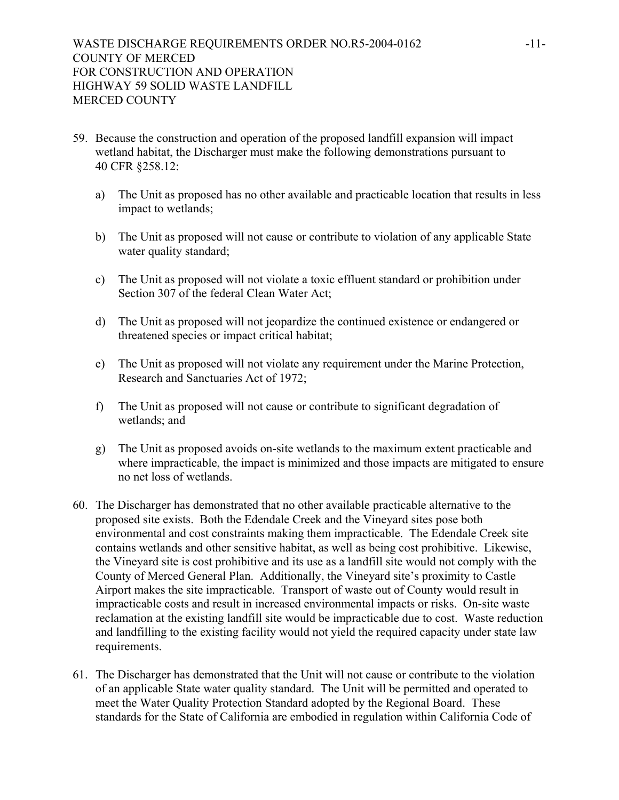- 59. Because the construction and operation of the proposed landfill expansion will impact wetland habitat, the Discharger must make the following demonstrations pursuant to 40 CFR §258.12:
	- a) The Unit as proposed has no other available and practicable location that results in less impact to wetlands;
	- b) The Unit as proposed will not cause or contribute to violation of any applicable State water quality standard;
	- c) The Unit as proposed will not violate a toxic effluent standard or prohibition under Section 307 of the federal Clean Water Act;
	- d) The Unit as proposed will not jeopardize the continued existence or endangered or threatened species or impact critical habitat;
	- e) The Unit as proposed will not violate any requirement under the Marine Protection, Research and Sanctuaries Act of 1972;
	- f) The Unit as proposed will not cause or contribute to significant degradation of wetlands; and
	- g) The Unit as proposed avoids on-site wetlands to the maximum extent practicable and where impracticable, the impact is minimized and those impacts are mitigated to ensure no net loss of wetlands.
- 60. The Discharger has demonstrated that no other available practicable alternative to the proposed site exists. Both the Edendale Creek and the Vineyard sites pose both environmental and cost constraints making them impracticable. The Edendale Creek site contains wetlands and other sensitive habitat, as well as being cost prohibitive. Likewise, the Vineyard site is cost prohibitive and its use as a landfill site would not comply with the County of Merced General Plan. Additionally, the Vineyard site's proximity to Castle Airport makes the site impracticable. Transport of waste out of County would result in impracticable costs and result in increased environmental impacts or risks. On-site waste reclamation at the existing landfill site would be impracticable due to cost. Waste reduction and landfilling to the existing facility would not yield the required capacity under state law requirements.
- 61. The Discharger has demonstrated that the Unit will not cause or contribute to the violation of an applicable State water quality standard. The Unit will be permitted and operated to meet the Water Quality Protection Standard adopted by the Regional Board. These standards for the State of California are embodied in regulation within California Code of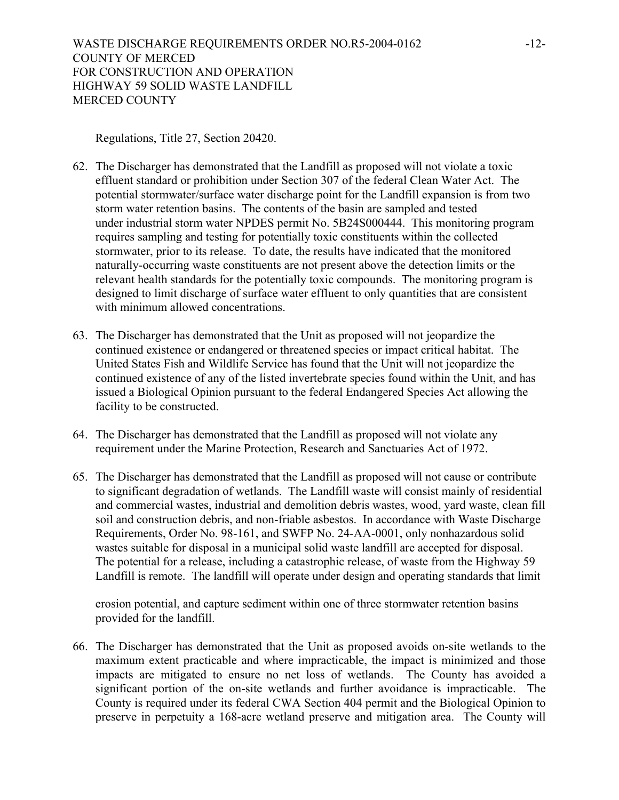Regulations, Title 27, Section 20420.

- 62. The Discharger has demonstrated that the Landfill as proposed will not violate a toxic effluent standard or prohibition under Section 307 of the federal Clean Water Act. The potential stormwater/surface water discharge point for the Landfill expansion is from two storm water retention basins. The contents of the basin are sampled and tested under industrial storm water NPDES permit No. 5B24S000444. This monitoring program requires sampling and testing for potentially toxic constituents within the collected stormwater, prior to its release. To date, the results have indicated that the monitored naturally-occurring waste constituents are not present above the detection limits or the relevant health standards for the potentially toxic compounds. The monitoring program is designed to limit discharge of surface water effluent to only quantities that are consistent with minimum allowed concentrations.
- 63. The Discharger has demonstrated that the Unit as proposed will not jeopardize the continued existence or endangered or threatened species or impact critical habitat. The United States Fish and Wildlife Service has found that the Unit will not jeopardize the continued existence of any of the listed invertebrate species found within the Unit, and has issued a Biological Opinion pursuant to the federal Endangered Species Act allowing the facility to be constructed.
- 64. The Discharger has demonstrated that the Landfill as proposed will not violate any requirement under the Marine Protection, Research and Sanctuaries Act of 1972.
- 65. The Discharger has demonstrated that the Landfill as proposed will not cause or contribute to significant degradation of wetlands. The Landfill waste will consist mainly of residential and commercial wastes, industrial and demolition debris wastes, wood, yard waste, clean fill soil and construction debris, and non-friable asbestos. In accordance with Waste Discharge Requirements, Order No. 98-161, and SWFP No. 24-AA-0001, only nonhazardous solid wastes suitable for disposal in a municipal solid waste landfill are accepted for disposal. The potential for a release, including a catastrophic release, of waste from the Highway 59 Landfill is remote. The landfill will operate under design and operating standards that limit

erosion potential, and capture sediment within one of three stormwater retention basins provided for the landfill.

66. The Discharger has demonstrated that the Unit as proposed avoids on-site wetlands to the maximum extent practicable and where impracticable, the impact is minimized and those impacts are mitigated to ensure no net loss of wetlands. The County has avoided a significant portion of the on-site wetlands and further avoidance is impracticable. The County is required under its federal CWA Section 404 permit and the Biological Opinion to preserve in perpetuity a 168-acre wetland preserve and mitigation area. The County will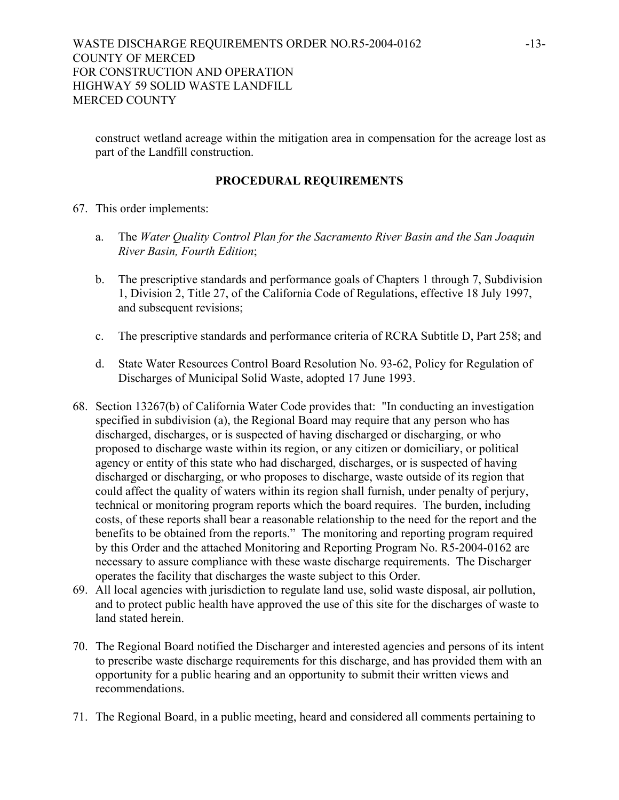construct wetland acreage within the mitigation area in compensation for the acreage lost as part of the Landfill construction.

## **PROCEDURAL REQUIREMENTS**

- 67. This order implements:
	- a. The *Water Quality Control Plan for the Sacramento River Basin and the San Joaquin River Basin, Fourth Edition*;
	- b. The prescriptive standards and performance goals of Chapters 1 through 7, Subdivision 1, Division 2, Title 27, of the California Code of Regulations, effective 18 July 1997, and subsequent revisions;
	- c. The prescriptive standards and performance criteria of RCRA Subtitle D, Part 258; and
	- d. State Water Resources Control Board Resolution No. 93-62, Policy for Regulation of Discharges of Municipal Solid Waste, adopted 17 June 1993.
- 68. Section 13267(b) of California Water Code provides that: "In conducting an investigation specified in subdivision (a), the Regional Board may require that any person who has discharged, discharges, or is suspected of having discharged or discharging, or who proposed to discharge waste within its region, or any citizen or domiciliary, or political agency or entity of this state who had discharged, discharges, or is suspected of having discharged or discharging, or who proposes to discharge, waste outside of its region that could affect the quality of waters within its region shall furnish, under penalty of perjury, technical or monitoring program reports which the board requires. The burden, including costs, of these reports shall bear a reasonable relationship to the need for the report and the benefits to be obtained from the reports." The monitoring and reporting program required by this Order and the attached Monitoring and Reporting Program No. R5-2004-0162 are necessary to assure compliance with these waste discharge requirements. The Discharger operates the facility that discharges the waste subject to this Order.
- 69. All local agencies with jurisdiction to regulate land use, solid waste disposal, air pollution, and to protect public health have approved the use of this site for the discharges of waste to land stated herein.
- 70. The Regional Board notified the Discharger and interested agencies and persons of its intent to prescribe waste discharge requirements for this discharge, and has provided them with an opportunity for a public hearing and an opportunity to submit their written views and recommendations.
- 71. The Regional Board, in a public meeting, heard and considered all comments pertaining to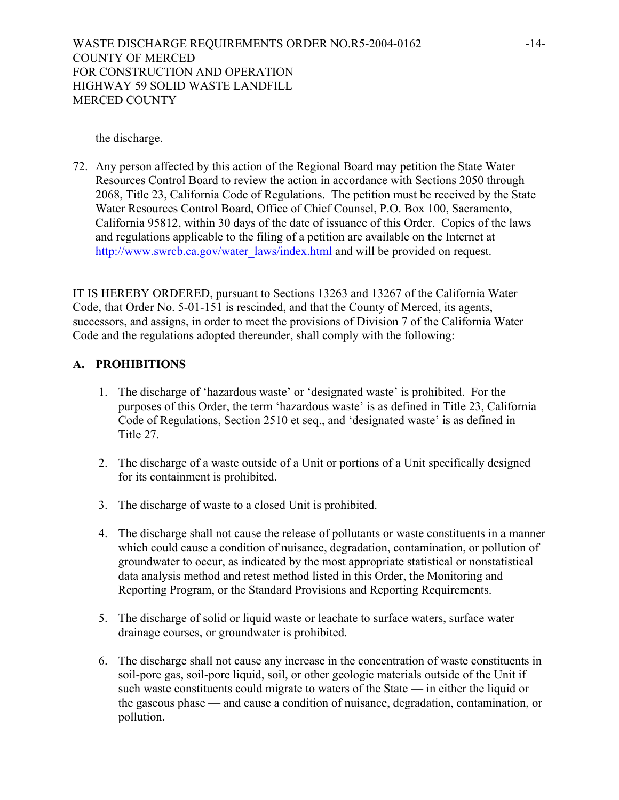WASTE DISCHARGE REQUIREMENTS ORDER NO.R5-2004-0162 COUNTY OF MERCED FOR CONSTRUCTION AND OPERATION HIGHWAY 59 SOLID WASTE LANDFILL MERCED COUNTY

the discharge.

72. Any person affected by this action of the Regional Board may petition the State Water Resources Control Board to review the action in accordance with Sections 2050 through 2068, Title 23, California Code of Regulations. The petition must be received by the State Water Resources Control Board, Office of Chief Counsel, P.O. Box 100, Sacramento, California 95812, within 30 days of the date of issuance of this Order. Copies of the laws and regulations applicable to the filing of a petition are available on the Internet at http://www.swrcb.ca.gov/water\_laws/index.html and will be provided on request.

IT IS HEREBY ORDERED, pursuant to Sections 13263 and 13267 of the California Water Code, that Order No. 5-01-151 is rescinded, and that the County of Merced, its agents, successors, and assigns, in order to meet the provisions of Division 7 of the California Water Code and the regulations adopted thereunder, shall comply with the following:

## **A. PROHIBITIONS**

- 1. The discharge of 'hazardous waste' or 'designated waste' is prohibited. For the purposes of this Order, the term 'hazardous waste' is as defined in Title 23, California Code of Regulations, Section 2510 et seq., and 'designated waste' is as defined in Title 27.
- 2. The discharge of a waste outside of a Unit or portions of a Unit specifically designed for its containment is prohibited.
- 3. The discharge of waste to a closed Unit is prohibited.
- 4. The discharge shall not cause the release of pollutants or waste constituents in a manner which could cause a condition of nuisance, degradation, contamination, or pollution of groundwater to occur, as indicated by the most appropriate statistical or nonstatistical data analysis method and retest method listed in this Order, the Monitoring and Reporting Program, or the Standard Provisions and Reporting Requirements.
- 5. The discharge of solid or liquid waste or leachate to surface waters, surface water drainage courses, or groundwater is prohibited.
- 6. The discharge shall not cause any increase in the concentration of waste constituents in soil-pore gas, soil-pore liquid, soil, or other geologic materials outside of the Unit if such waste constituents could migrate to waters of the State — in either the liquid or the gaseous phase — and cause a condition of nuisance, degradation, contamination, or pollution.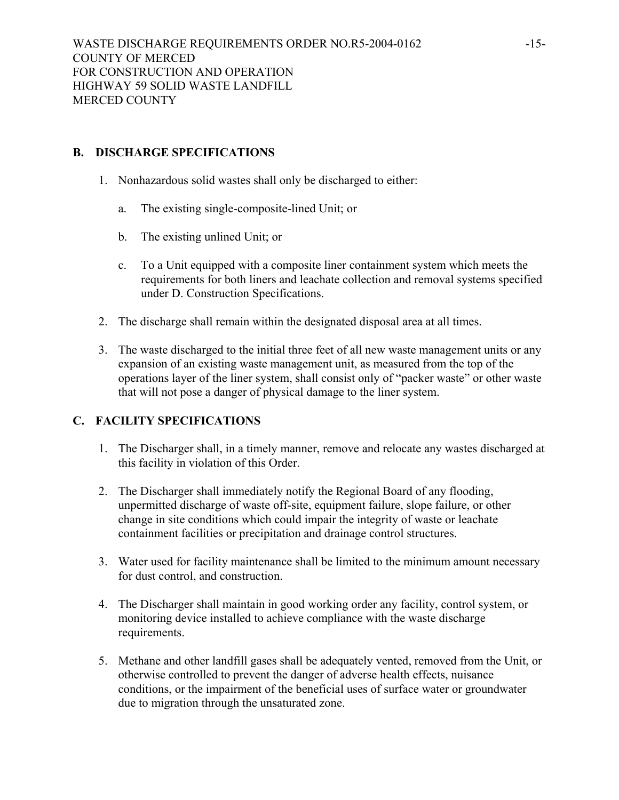## **B. DISCHARGE SPECIFICATIONS**

- 1. Nonhazardous solid wastes shall only be discharged to either:
	- a. The existing single-composite-lined Unit; or
	- b. The existing unlined Unit; or
	- c. To a Unit equipped with a composite liner containment system which meets the requirements for both liners and leachate collection and removal systems specified under D. Construction Specifications.
- 2. The discharge shall remain within the designated disposal area at all times.
- 3. The waste discharged to the initial three feet of all new waste management units or any expansion of an existing waste management unit, as measured from the top of the operations layer of the liner system, shall consist only of "packer waste" or other waste that will not pose a danger of physical damage to the liner system.

## **C. FACILITY SPECIFICATIONS**

- 1. The Discharger shall, in a timely manner, remove and relocate any wastes discharged at this facility in violation of this Order.
- 2. The Discharger shall immediately notify the Regional Board of any flooding, unpermitted discharge of waste off-site, equipment failure, slope failure, or other change in site conditions which could impair the integrity of waste or leachate containment facilities or precipitation and drainage control structures.
- 3. Water used for facility maintenance shall be limited to the minimum amount necessary for dust control, and construction.
- 4. The Discharger shall maintain in good working order any facility, control system, or monitoring device installed to achieve compliance with the waste discharge requirements.
- 5. Methane and other landfill gases shall be adequately vented, removed from the Unit, or otherwise controlled to prevent the danger of adverse health effects, nuisance conditions, or the impairment of the beneficial uses of surface water or groundwater due to migration through the unsaturated zone.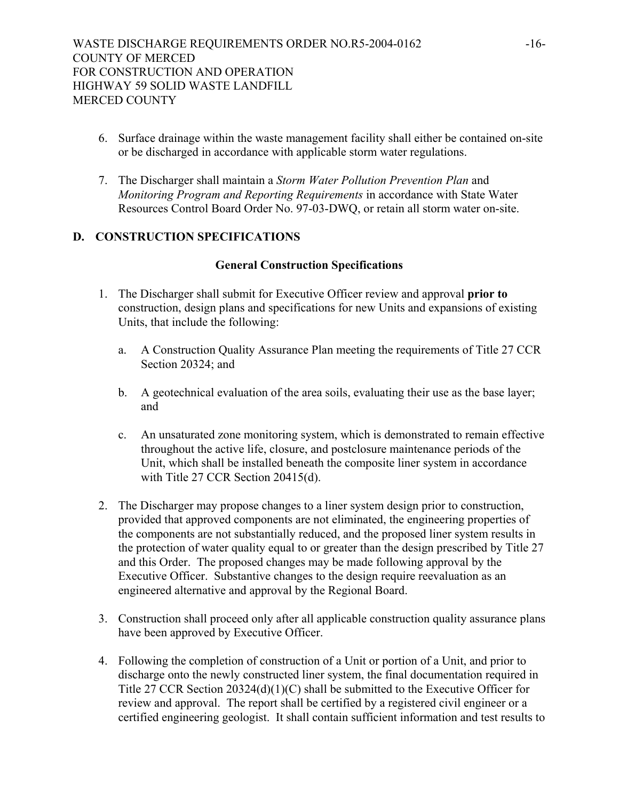- 6. Surface drainage within the waste management facility shall either be contained on-site or be discharged in accordance with applicable storm water regulations.
- 7. The Discharger shall maintain a *Storm Water Pollution Prevention Plan* and *Monitoring Program and Reporting Requirements* in accordance with State Water Resources Control Board Order No. 97-03-DWQ, or retain all storm water on-site.

## **D. CONSTRUCTION SPECIFICATIONS**

#### **General Construction Specifications**

- 1. The Discharger shall submit for Executive Officer review and approval **prior to** construction, design plans and specifications for new Units and expansions of existing Units, that include the following:
	- a. A Construction Quality Assurance Plan meeting the requirements of Title 27 CCR Section 20324; and
	- b. A geotechnical evaluation of the area soils, evaluating their use as the base layer; and
	- c. An unsaturated zone monitoring system, which is demonstrated to remain effective throughout the active life, closure, and postclosure maintenance periods of the Unit, which shall be installed beneath the composite liner system in accordance with Title 27 CCR Section 20415(d).
- 2. The Discharger may propose changes to a liner system design prior to construction, provided that approved components are not eliminated, the engineering properties of the components are not substantially reduced, and the proposed liner system results in the protection of water quality equal to or greater than the design prescribed by Title 27 and this Order. The proposed changes may be made following approval by the Executive Officer. Substantive changes to the design require reevaluation as an engineered alternative and approval by the Regional Board.
- 3. Construction shall proceed only after all applicable construction quality assurance plans have been approved by Executive Officer.
- 4. Following the completion of construction of a Unit or portion of a Unit, and prior to discharge onto the newly constructed liner system, the final documentation required in Title 27 CCR Section 20324(d)(1)(C) shall be submitted to the Executive Officer for review and approval. The report shall be certified by a registered civil engineer or a certified engineering geologist. It shall contain sufficient information and test results to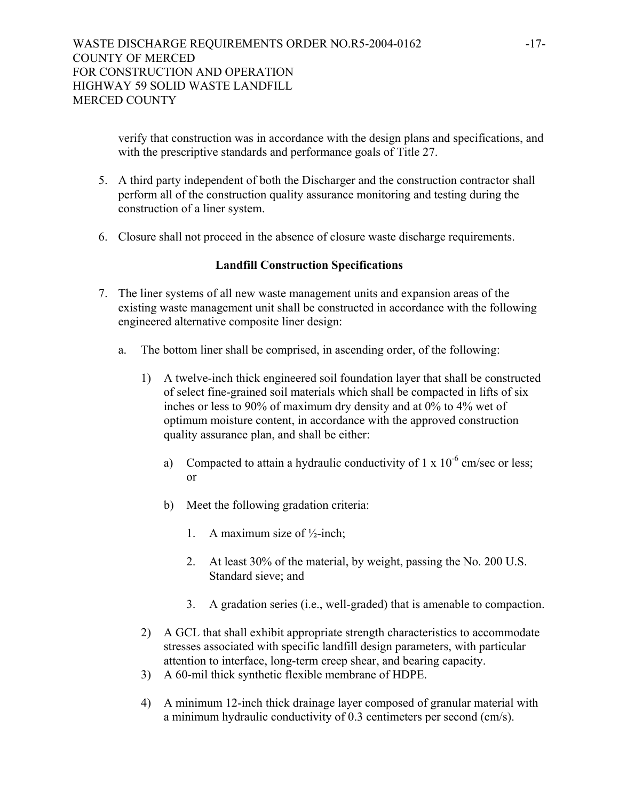verify that construction was in accordance with the design plans and specifications, and with the prescriptive standards and performance goals of Title 27.

- 5. A third party independent of both the Discharger and the construction contractor shall perform all of the construction quality assurance monitoring and testing during the construction of a liner system.
- 6. Closure shall not proceed in the absence of closure waste discharge requirements.

## **Landfill Construction Specifications**

- 7. The liner systems of all new waste management units and expansion areas of the existing waste management unit shall be constructed in accordance with the following engineered alternative composite liner design:
	- a. The bottom liner shall be comprised, in ascending order, of the following:
		- 1) A twelve-inch thick engineered soil foundation layer that shall be constructed of select fine-grained soil materials which shall be compacted in lifts of six inches or less to 90% of maximum dry density and at 0% to 4% wet of optimum moisture content, in accordance with the approved construction quality assurance plan, and shall be either:
			- a) Compacted to attain a hydraulic conductivity of  $1 \times 10^{-6}$  cm/sec or less; or
			- b) Meet the following gradation criteria:
				- 1. A maximum size of  $\frac{1}{2}$ -inch;
				- 2. At least 30% of the material, by weight, passing the No. 200 U.S. Standard sieve; and
				- 3. A gradation series (i.e., well-graded) that is amenable to compaction.
		- 2) A GCL that shall exhibit appropriate strength characteristics to accommodate stresses associated with specific landfill design parameters, with particular attention to interface, long-term creep shear, and bearing capacity.
		- 3) A 60-mil thick synthetic flexible membrane of HDPE.
		- 4) A minimum 12-inch thick drainage layer composed of granular material with a minimum hydraulic conductivity of 0.3 centimeters per second (cm/s).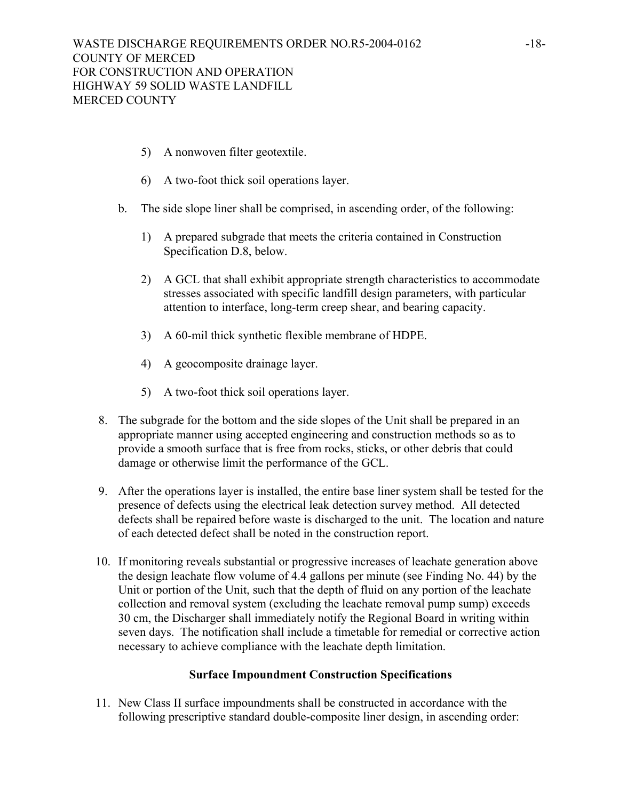- 5) A nonwoven filter geotextile.
- 6) A two-foot thick soil operations layer.
- b. The side slope liner shall be comprised, in ascending order, of the following:
	- 1) A prepared subgrade that meets the criteria contained in Construction Specification D.8, below.
	- 2) A GCL that shall exhibit appropriate strength characteristics to accommodate stresses associated with specific landfill design parameters, with particular attention to interface, long-term creep shear, and bearing capacity.
	- 3) A 60-mil thick synthetic flexible membrane of HDPE.
	- 4) A geocomposite drainage layer.
	- 5) A two-foot thick soil operations layer.
- 8. The subgrade for the bottom and the side slopes of the Unit shall be prepared in an appropriate manner using accepted engineering and construction methods so as to provide a smooth surface that is free from rocks, sticks, or other debris that could damage or otherwise limit the performance of the GCL.
- 9. After the operations layer is installed, the entire base liner system shall be tested for the presence of defects using the electrical leak detection survey method. All detected defects shall be repaired before waste is discharged to the unit. The location and nature of each detected defect shall be noted in the construction report.
- 10. If monitoring reveals substantial or progressive increases of leachate generation above the design leachate flow volume of 4.4 gallons per minute (see Finding No. 44) by the Unit or portion of the Unit, such that the depth of fluid on any portion of the leachate collection and removal system (excluding the leachate removal pump sump) exceeds 30 cm, the Discharger shall immediately notify the Regional Board in writing within seven days. The notification shall include a timetable for remedial or corrective action necessary to achieve compliance with the leachate depth limitation.

#### **Surface Impoundment Construction Specifications**

11. New Class II surface impoundments shall be constructed in accordance with the following prescriptive standard double-composite liner design, in ascending order: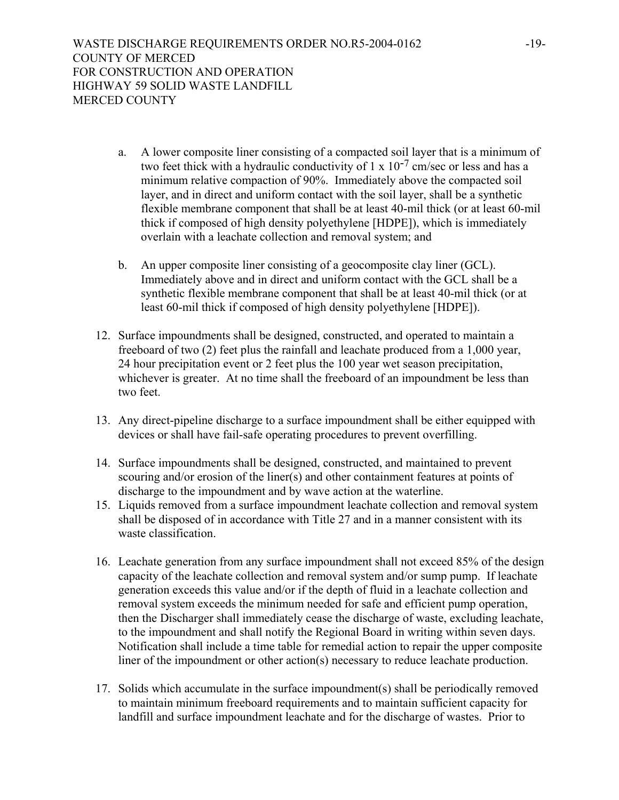- a. A lower composite liner consisting of a compacted soil layer that is a minimum of two feet thick with a hydraulic conductivity of  $1 \times 10^{-7}$  cm/sec or less and has a minimum relative compaction of 90%. Immediately above the compacted soil layer, and in direct and uniform contact with the soil layer, shall be a synthetic flexible membrane component that shall be at least 40-mil thick (or at least 60-mil thick if composed of high density polyethylene [HDPE]), which is immediately overlain with a leachate collection and removal system; and
- b. An upper composite liner consisting of a geocomposite clay liner (GCL). Immediately above and in direct and uniform contact with the GCL shall be a synthetic flexible membrane component that shall be at least 40-mil thick (or at least 60-mil thick if composed of high density polyethylene [HDPE]).
- 12. Surface impoundments shall be designed, constructed, and operated to maintain a freeboard of two (2) feet plus the rainfall and leachate produced from a 1,000 year, 24 hour precipitation event or 2 feet plus the 100 year wet season precipitation, whichever is greater. At no time shall the freeboard of an impoundment be less than two feet.
- 13. Any direct-pipeline discharge to a surface impoundment shall be either equipped with devices or shall have fail-safe operating procedures to prevent overfilling.
- 14. Surface impoundments shall be designed, constructed, and maintained to prevent scouring and/or erosion of the liner(s) and other containment features at points of discharge to the impoundment and by wave action at the waterline.
- 15. Liquids removed from a surface impoundment leachate collection and removal system shall be disposed of in accordance with Title 27 and in a manner consistent with its waste classification.
- 16. Leachate generation from any surface impoundment shall not exceed 85% of the design capacity of the leachate collection and removal system and/or sump pump. If leachate generation exceeds this value and/or if the depth of fluid in a leachate collection and removal system exceeds the minimum needed for safe and efficient pump operation, then the Discharger shall immediately cease the discharge of waste, excluding leachate, to the impoundment and shall notify the Regional Board in writing within seven days. Notification shall include a time table for remedial action to repair the upper composite liner of the impoundment or other action(s) necessary to reduce leachate production.
- 17. Solids which accumulate in the surface impoundment(s) shall be periodically removed to maintain minimum freeboard requirements and to maintain sufficient capacity for landfill and surface impoundment leachate and for the discharge of wastes. Prior to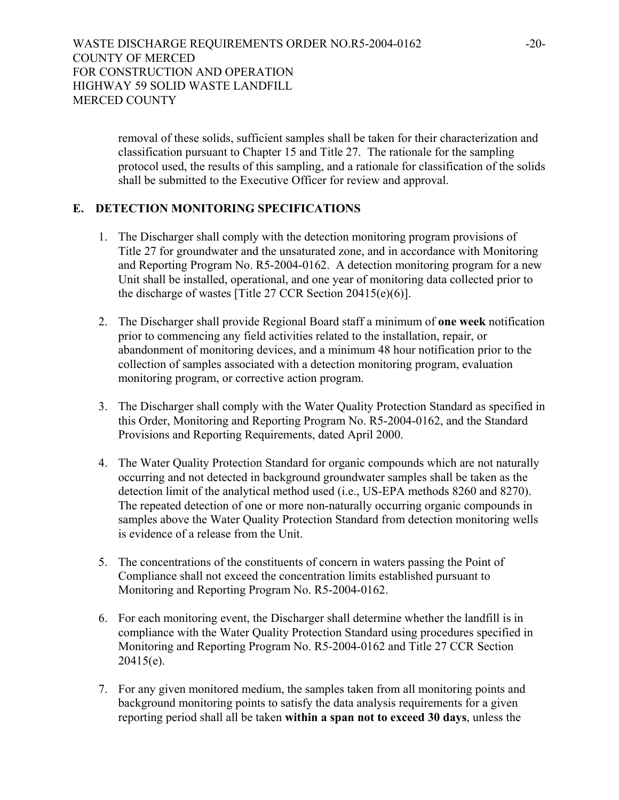removal of these solids, sufficient samples shall be taken for their characterization and classification pursuant to Chapter 15 and Title 27. The rationale for the sampling protocol used, the results of this sampling, and a rationale for classification of the solids shall be submitted to the Executive Officer for review and approval.

## **E. DETECTION MONITORING SPECIFICATIONS**

- 1. The Discharger shall comply with the detection monitoring program provisions of Title 27 for groundwater and the unsaturated zone, and in accordance with Monitoring and Reporting Program No. R5-2004-0162. A detection monitoring program for a new Unit shall be installed, operational, and one year of monitoring data collected prior to the discharge of wastes [Title 27 CCR Section 20415(e)(6)].
- 2. The Discharger shall provide Regional Board staff a minimum of **one week** notification prior to commencing any field activities related to the installation, repair, or abandonment of monitoring devices, and a minimum 48 hour notification prior to the collection of samples associated with a detection monitoring program, evaluation monitoring program, or corrective action program.
- 3. The Discharger shall comply with the Water Quality Protection Standard as specified in this Order, Monitoring and Reporting Program No. R5-2004-0162, and the Standard Provisions and Reporting Requirements, dated April 2000.
- 4. The Water Quality Protection Standard for organic compounds which are not naturally occurring and not detected in background groundwater samples shall be taken as the detection limit of the analytical method used (i.e., US-EPA methods 8260 and 8270). The repeated detection of one or more non-naturally occurring organic compounds in samples above the Water Quality Protection Standard from detection monitoring wells is evidence of a release from the Unit.
- 5. The concentrations of the constituents of concern in waters passing the Point of Compliance shall not exceed the concentration limits established pursuant to Monitoring and Reporting Program No. R5-2004-0162.
- 6. For each monitoring event, the Discharger shall determine whether the landfill is in compliance with the Water Quality Protection Standard using procedures specified in Monitoring and Reporting Program No. R5-2004-0162 and Title 27 CCR Section 20415(e).
- 7. For any given monitored medium, the samples taken from all monitoring points and background monitoring points to satisfy the data analysis requirements for a given reporting period shall all be taken **within a span not to exceed 30 days**, unless the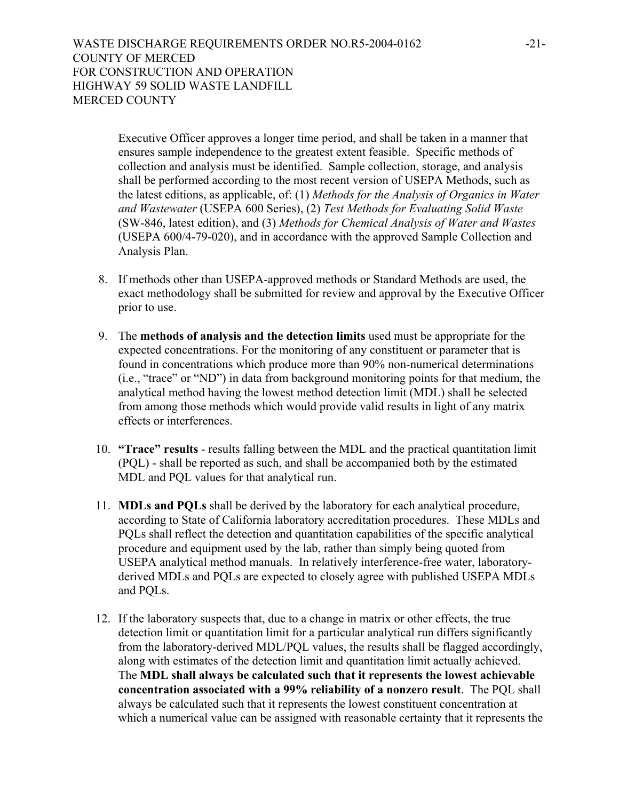Executive Officer approves a longer time period, and shall be taken in a manner that ensures sample independence to the greatest extent feasible. Specific methods of collection and analysis must be identified. Sample collection, storage, and analysis shall be performed according to the most recent version of USEPA Methods, such as the latest editions, as applicable, of: (1) *Methods for the Analysis of Organics in Water and Wastewater* (USEPA 600 Series), (2) *Test Methods for Evaluating Solid Waste* (SW-846, latest edition), and (3) *Methods for Chemical Analysis of Water and Wastes* (USEPA 600/4-79-020), and in accordance with the approved Sample Collection and Analysis Plan.

- 8. If methods other than USEPA-approved methods or Standard Methods are used, the exact methodology shall be submitted for review and approval by the Executive Officer prior to use.
- 9. The **methods of analysis and the detection limits** used must be appropriate for the expected concentrations. For the monitoring of any constituent or parameter that is found in concentrations which produce more than 90% non-numerical determinations (i.e., "trace" or "ND") in data from background monitoring points for that medium, the analytical method having the lowest method detection limit (MDL) shall be selected from among those methods which would provide valid results in light of any matrix effects or interferences.
- 10. **"Trace" results** results falling between the MDL and the practical quantitation limit (PQL) - shall be reported as such, and shall be accompanied both by the estimated MDL and PQL values for that analytical run.
- 11. **MDLs and PQLs** shall be derived by the laboratory for each analytical procedure, according to State of California laboratory accreditation procedures. These MDLs and PQLs shall reflect the detection and quantitation capabilities of the specific analytical procedure and equipment used by the lab, rather than simply being quoted from USEPA analytical method manuals. In relatively interference-free water, laboratoryderived MDLs and PQLs are expected to closely agree with published USEPA MDLs and PQLs.
- 12. If the laboratory suspects that, due to a change in matrix or other effects, the true detection limit or quantitation limit for a particular analytical run differs significantly from the laboratory-derived MDL/PQL values, the results shall be flagged accordingly, along with estimates of the detection limit and quantitation limit actually achieved. The **MDL shall always be calculated such that it represents the lowest achievable concentration associated with a 99% reliability of a nonzero result**. The PQL shall always be calculated such that it represents the lowest constituent concentration at which a numerical value can be assigned with reasonable certainty that it represents the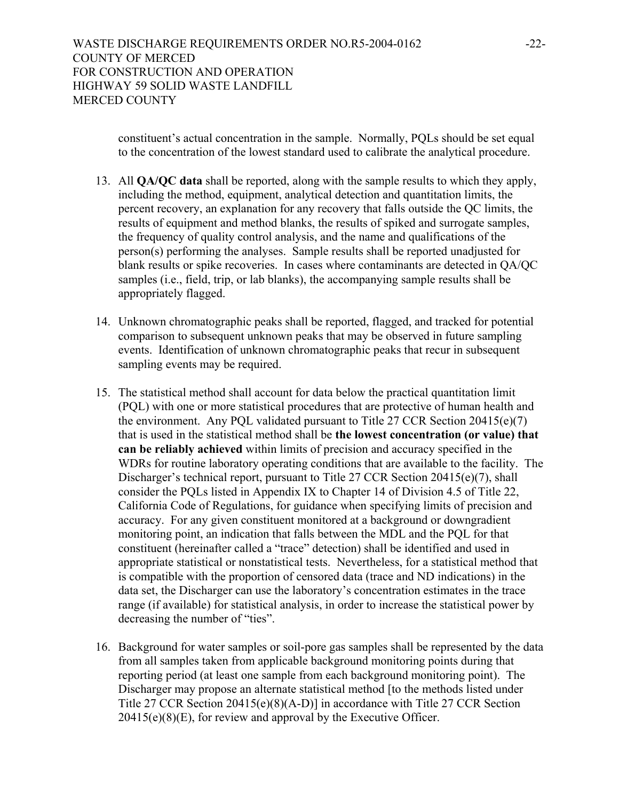constituent's actual concentration in the sample. Normally, PQLs should be set equal to the concentration of the lowest standard used to calibrate the analytical procedure.

- 13. All **QA/QC data** shall be reported, along with the sample results to which they apply, including the method, equipment, analytical detection and quantitation limits, the percent recovery, an explanation for any recovery that falls outside the QC limits, the results of equipment and method blanks, the results of spiked and surrogate samples, the frequency of quality control analysis, and the name and qualifications of the person(s) performing the analyses. Sample results shall be reported unadjusted for blank results or spike recoveries. In cases where contaminants are detected in QA/QC samples (i.e., field, trip, or lab blanks), the accompanying sample results shall be appropriately flagged.
- 14. Unknown chromatographic peaks shall be reported, flagged, and tracked for potential comparison to subsequent unknown peaks that may be observed in future sampling events. Identification of unknown chromatographic peaks that recur in subsequent sampling events may be required.
- 15. The statistical method shall account for data below the practical quantitation limit (PQL) with one or more statistical procedures that are protective of human health and the environment. Any PQL validated pursuant to Title 27 CCR Section 20415(e)(7) that is used in the statistical method shall be **the lowest concentration (or value) that can be reliably achieved** within limits of precision and accuracy specified in the WDRs for routine laboratory operating conditions that are available to the facility. The Discharger's technical report, pursuant to Title 27 CCR Section 20415(e)(7), shall consider the PQLs listed in Appendix IX to Chapter 14 of Division 4.5 of Title 22, California Code of Regulations, for guidance when specifying limits of precision and accuracy. For any given constituent monitored at a background or downgradient monitoring point, an indication that falls between the MDL and the PQL for that constituent (hereinafter called a "trace" detection) shall be identified and used in appropriate statistical or nonstatistical tests. Nevertheless, for a statistical method that is compatible with the proportion of censored data (trace and ND indications) in the data set, the Discharger can use the laboratory's concentration estimates in the trace range (if available) for statistical analysis, in order to increase the statistical power by decreasing the number of "ties".
- 16. Background for water samples or soil-pore gas samples shall be represented by the data from all samples taken from applicable background monitoring points during that reporting period (at least one sample from each background monitoring point). The Discharger may propose an alternate statistical method [to the methods listed under Title 27 CCR Section 20415(e)(8)(A-D)] in accordance with Title 27 CCR Section  $20415(e)(8)(E)$ , for review and approval by the Executive Officer.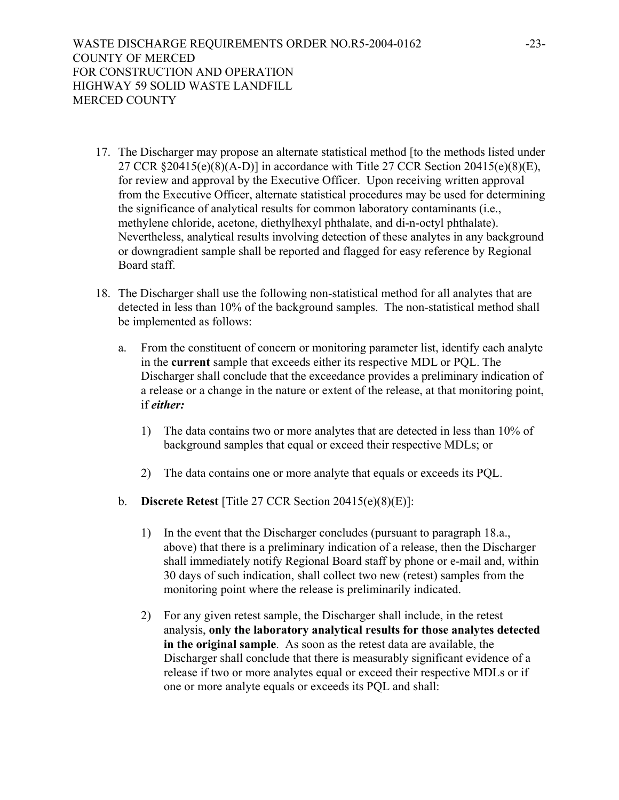- 17. The Discharger may propose an alternate statistical method [to the methods listed under 27 CCR §20415(e)(8)(A-D)] in accordance with Title 27 CCR Section 20415(e)(8)(E), for review and approval by the Executive Officer. Upon receiving written approval from the Executive Officer, alternate statistical procedures may be used for determining the significance of analytical results for common laboratory contaminants (i.e., methylene chloride, acetone, diethylhexyl phthalate, and di-n-octyl phthalate). Nevertheless, analytical results involving detection of these analytes in any background or downgradient sample shall be reported and flagged for easy reference by Regional Board staff.
- 18. The Discharger shall use the following non-statistical method for all analytes that are detected in less than 10% of the background samples. The non-statistical method shall be implemented as follows:
	- a. From the constituent of concern or monitoring parameter list, identify each analyte in the **current** sample that exceeds either its respective MDL or PQL. The Discharger shall conclude that the exceedance provides a preliminary indication of a release or a change in the nature or extent of the release, at that monitoring point, if *either:* 
		- 1) The data contains two or more analytes that are detected in less than 10% of background samples that equal or exceed their respective MDLs; or
		- 2) The data contains one or more analyte that equals or exceeds its PQL.
	- b. **Discrete Retest** [Title 27 CCR Section 20415(e)(8)(E)]:
		- 1) In the event that the Discharger concludes (pursuant to paragraph 18.a., above) that there is a preliminary indication of a release, then the Discharger shall immediately notify Regional Board staff by phone or e-mail and, within 30 days of such indication, shall collect two new (retest) samples from the monitoring point where the release is preliminarily indicated.
		- 2) For any given retest sample, the Discharger shall include, in the retest analysis, **only the laboratory analytical results for those analytes detected in the original sample**. As soon as the retest data are available, the Discharger shall conclude that there is measurably significant evidence of a release if two or more analytes equal or exceed their respective MDLs or if one or more analyte equals or exceeds its PQL and shall: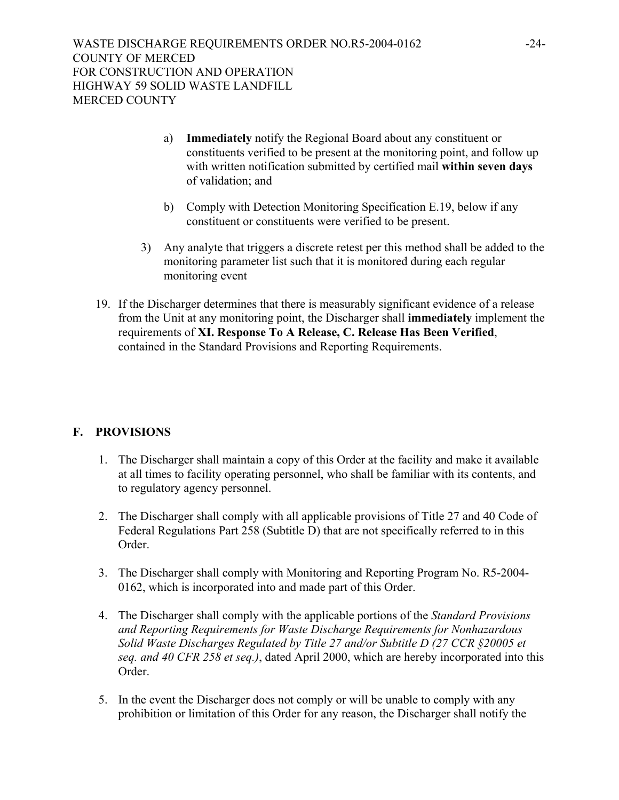- a) **Immediately** notify the Regional Board about any constituent or constituents verified to be present at the monitoring point, and follow up with written notification submitted by certified mail **within seven days** of validation; and
- b) Comply with Detection Monitoring Specification E.19, below if any constituent or constituents were verified to be present.
- 3) Any analyte that triggers a discrete retest per this method shall be added to the monitoring parameter list such that it is monitored during each regular monitoring event
- 19. If the Discharger determines that there is measurably significant evidence of a release from the Unit at any monitoring point, the Discharger shall **immediately** implement the requirements of **XI. Response To A Release, C. Release Has Been Verified**, contained in the Standard Provisions and Reporting Requirements.

## **F. PROVISIONS**

- 1. The Discharger shall maintain a copy of this Order at the facility and make it available at all times to facility operating personnel, who shall be familiar with its contents, and to regulatory agency personnel.
- 2. The Discharger shall comply with all applicable provisions of Title 27 and 40 Code of Federal Regulations Part 258 (Subtitle D) that are not specifically referred to in this Order.
- 3. The Discharger shall comply with Monitoring and Reporting Program No. R5-2004- 0162, which is incorporated into and made part of this Order.
- 4. The Discharger shall comply with the applicable portions of the *Standard Provisions and Reporting Requirements for Waste Discharge Requirements for Nonhazardous Solid Waste Discharges Regulated by Title 27 and/or Subtitle D (27 CCR §20005 et seq. and 40 CFR 258 et seq.)*, dated April 2000, which are hereby incorporated into this Order.
- 5. In the event the Discharger does not comply or will be unable to comply with any prohibition or limitation of this Order for any reason, the Discharger shall notify the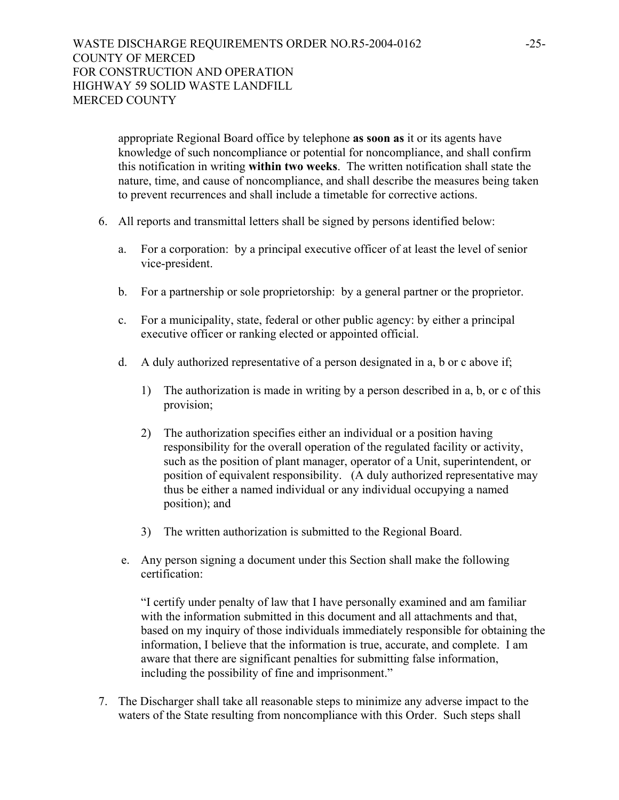appropriate Regional Board office by telephone **as soon as** it or its agents have knowledge of such noncompliance or potential for noncompliance, and shall confirm this notification in writing **within two weeks**. The written notification shall state the nature, time, and cause of noncompliance, and shall describe the measures being taken to prevent recurrences and shall include a timetable for corrective actions.

- 6. All reports and transmittal letters shall be signed by persons identified below:
	- a. For a corporation: by a principal executive officer of at least the level of senior vice-president.
	- b. For a partnership or sole proprietorship: by a general partner or the proprietor.
	- c. For a municipality, state, federal or other public agency: by either a principal executive officer or ranking elected or appointed official.
	- d. A duly authorized representative of a person designated in a, b or c above if;
		- 1) The authorization is made in writing by a person described in a, b, or c of this provision;
		- 2) The authorization specifies either an individual or a position having responsibility for the overall operation of the regulated facility or activity, such as the position of plant manager, operator of a Unit, superintendent, or position of equivalent responsibility. (A duly authorized representative may thus be either a named individual or any individual occupying a named position); and
		- 3) The written authorization is submitted to the Regional Board.
	- e. Any person signing a document under this Section shall make the following certification:

"I certify under penalty of law that I have personally examined and am familiar with the information submitted in this document and all attachments and that, based on my inquiry of those individuals immediately responsible for obtaining the information, I believe that the information is true, accurate, and complete. I am aware that there are significant penalties for submitting false information, including the possibility of fine and imprisonment."

 7. The Discharger shall take all reasonable steps to minimize any adverse impact to the waters of the State resulting from noncompliance with this Order. Such steps shall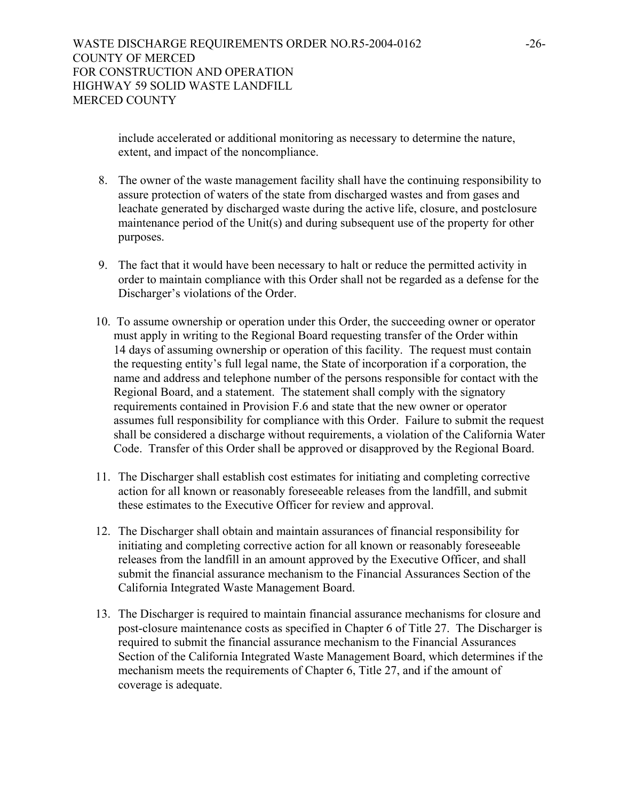include accelerated or additional monitoring as necessary to determine the nature, extent, and impact of the noncompliance.

- 8. The owner of the waste management facility shall have the continuing responsibility to assure protection of waters of the state from discharged wastes and from gases and leachate generated by discharged waste during the active life, closure, and postclosure maintenance period of the Unit(s) and during subsequent use of the property for other purposes.
- 9. The fact that it would have been necessary to halt or reduce the permitted activity in order to maintain compliance with this Order shall not be regarded as a defense for the Discharger's violations of the Order.
- 10. To assume ownership or operation under this Order, the succeeding owner or operator must apply in writing to the Regional Board requesting transfer of the Order within 14 days of assuming ownership or operation of this facility. The request must contain the requesting entity's full legal name, the State of incorporation if a corporation, the name and address and telephone number of the persons responsible for contact with the Regional Board, and a statement. The statement shall comply with the signatory requirements contained in Provision F.6 and state that the new owner or operator assumes full responsibility for compliance with this Order. Failure to submit the request shall be considered a discharge without requirements, a violation of the California Water Code. Transfer of this Order shall be approved or disapproved by the Regional Board.
- 11. The Discharger shall establish cost estimates for initiating and completing corrective action for all known or reasonably foreseeable releases from the landfill, and submit these estimates to the Executive Officer for review and approval.
- 12. The Discharger shall obtain and maintain assurances of financial responsibility for initiating and completing corrective action for all known or reasonably foreseeable releases from the landfill in an amount approved by the Executive Officer, and shall submit the financial assurance mechanism to the Financial Assurances Section of the California Integrated Waste Management Board.
- 13. The Discharger is required to maintain financial assurance mechanisms for closure and post-closure maintenance costs as specified in Chapter 6 of Title 27. The Discharger is required to submit the financial assurance mechanism to the Financial Assurances Section of the California Integrated Waste Management Board, which determines if the mechanism meets the requirements of Chapter 6, Title 27, and if the amount of coverage is adequate.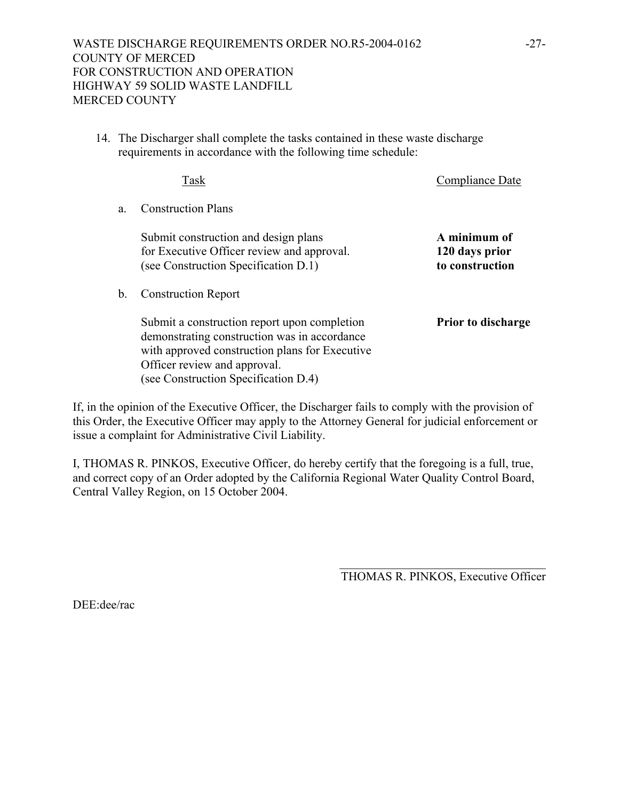14. The Discharger shall complete the tasks contained in these waste discharge requirements in accordance with the following time schedule:

|                | Task                                                                                                                                                                                                                   | Compliance Date                                   |
|----------------|------------------------------------------------------------------------------------------------------------------------------------------------------------------------------------------------------------------------|---------------------------------------------------|
| a              | <b>Construction Plans</b>                                                                                                                                                                                              |                                                   |
|                | Submit construction and design plans<br>for Executive Officer review and approval.<br>(see Construction Specification D.1)                                                                                             | A minimum of<br>120 days prior<br>to construction |
| $\mathbf{b}$ . | <b>Construction Report</b>                                                                                                                                                                                             |                                                   |
|                | Submit a construction report upon completion<br>demonstrating construction was in accordance<br>with approved construction plans for Executive<br>Officer review and approval.<br>(see Construction Specification D.4) | <b>Prior to discharge</b>                         |

If, in the opinion of the Executive Officer, the Discharger fails to comply with the provision of this Order, the Executive Officer may apply to the Attorney General for judicial enforcement or issue a complaint for Administrative Civil Liability.

I, THOMAS R. PINKOS, Executive Officer, do hereby certify that the foregoing is a full, true, and correct copy of an Order adopted by the California Regional Water Quality Control Board, Central Valley Region, on 15 October 2004.

> \_\_\_\_\_\_\_\_\_\_\_\_\_\_\_\_\_\_\_\_\_\_\_\_\_\_\_\_\_\_\_\_\_\_ THOMAS R. PINKOS, Executive Officer

DEE:dee/rac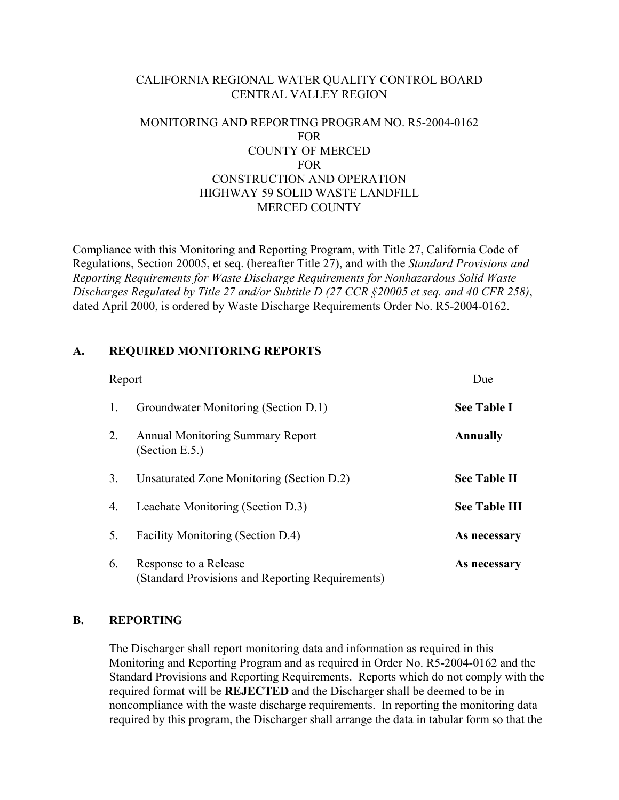## CALIFORNIA REGIONAL WATER QUALITY CONTROL BOARD CENTRAL VALLEY REGION

## MONITORING AND REPORTING PROGRAM NO. R5-2004-0162 FOR COUNTY OF MERCED FOR CONSTRUCTION AND OPERATION HIGHWAY 59 SOLID WASTE LANDFILL MERCED COUNTY

Compliance with this Monitoring and Reporting Program, with Title 27, California Code of Regulations, Section 20005, et seq. (hereafter Title 27), and with the *Standard Provisions and Reporting Requirements for Waste Discharge Requirements for Nonhazardous Solid Waste Discharges Regulated by Title 27 and/or Subtitle D (27 CCR §20005 et seq. and 40 CFR 258)*, dated April 2000, is ordered by Waste Discharge Requirements Order No. R5-2004-0162.

## **A. REQUIRED MONITORING REPORTS**

| Report |                                                                           | Due                  |
|--------|---------------------------------------------------------------------------|----------------------|
| 1.     | Groundwater Monitoring (Section D.1)                                      | <b>See Table I</b>   |
| 2.     | <b>Annual Monitoring Summary Report</b><br>(Section E.5.)                 | Annually             |
| 3.     | Unsaturated Zone Monitoring (Section D.2)                                 | <b>See Table II</b>  |
| 4.     | Leachate Monitoring (Section D.3)                                         | <b>See Table III</b> |
| 5.     | Facility Monitoring (Section D.4)                                         | As necessary         |
| 6.     | Response to a Release<br>(Standard Provisions and Reporting Requirements) | As necessary         |

#### **B. REPORTING**

 The Discharger shall report monitoring data and information as required in this Monitoring and Reporting Program and as required in Order No. R5-2004-0162 and the Standard Provisions and Reporting Requirements. Reports which do not comply with the required format will be **REJECTED** and the Discharger shall be deemed to be in noncompliance with the waste discharge requirements. In reporting the monitoring data required by this program, the Discharger shall arrange the data in tabular form so that the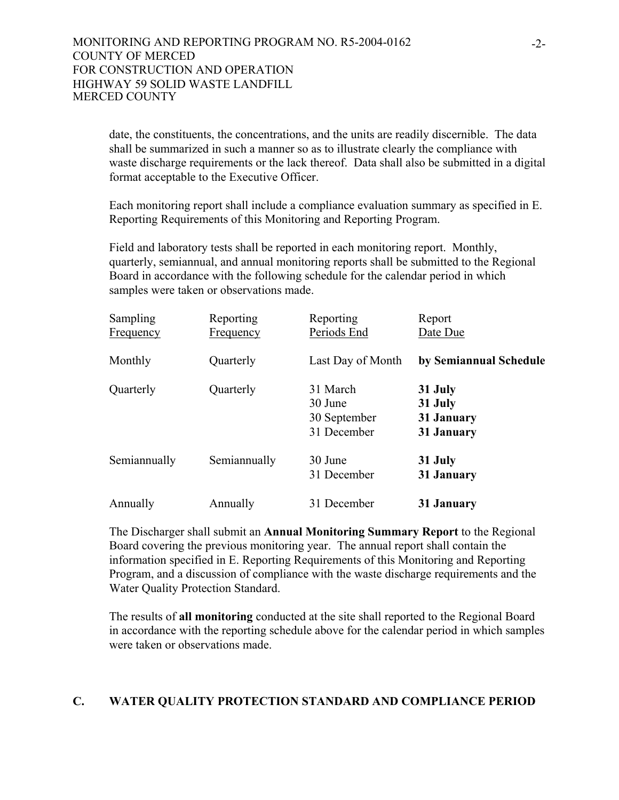date, the constituents, the concentrations, and the units are readily discernible. The data shall be summarized in such a manner so as to illustrate clearly the compliance with waste discharge requirements or the lack thereof. Data shall also be submitted in a digital format acceptable to the Executive Officer.

 Each monitoring report shall include a compliance evaluation summary as specified in E. Reporting Requirements of this Monitoring and Reporting Program.

 Field and laboratory tests shall be reported in each monitoring report. Monthly, quarterly, semiannual, and annual monitoring reports shall be submitted to the Regional Board in accordance with the following schedule for the calendar period in which samples were taken or observations made.

| <b>Sampling</b><br><b>Frequency</b> | Reporting<br><b>Frequency</b> | Reporting<br>Periods End                           | Report<br>Date Due                             |
|-------------------------------------|-------------------------------|----------------------------------------------------|------------------------------------------------|
| Monthly                             | Quarterly                     | Last Day of Month                                  | by Semiannual Schedule                         |
| Quarterly                           | Quarterly                     | 31 March<br>30 June<br>30 September<br>31 December | 31 July<br>31 July<br>31 January<br>31 January |
| Semiannually                        | Semiannually                  | 30 June<br>31 December                             | 31 July<br>31 January                          |
| Annually                            | Annually                      | 31 December                                        | 31 January                                     |

 The Discharger shall submit an **Annual Monitoring Summary Report** to the Regional Board covering the previous monitoring year. The annual report shall contain the information specified in E. Reporting Requirements of this Monitoring and Reporting Program, and a discussion of compliance with the waste discharge requirements and the Water Quality Protection Standard.

 The results of **all monitoring** conducted at the site shall reported to the Regional Board in accordance with the reporting schedule above for the calendar period in which samples were taken or observations made.

#### **C. WATER QUALITY PROTECTION STANDARD AND COMPLIANCE PERIOD**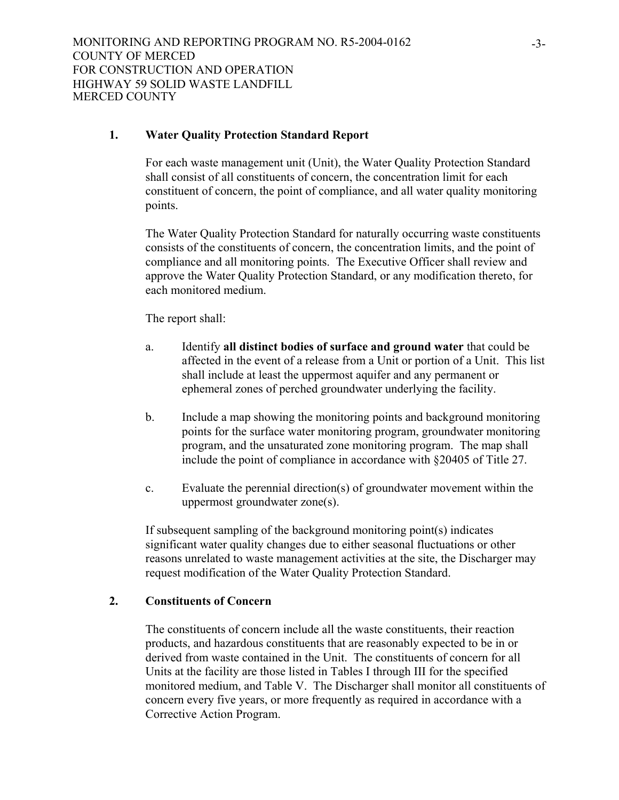## **1. Water Quality Protection Standard Report**

 For each waste management unit (Unit), the Water Quality Protection Standard shall consist of all constituents of concern, the concentration limit for each constituent of concern, the point of compliance, and all water quality monitoring points.

 The Water Quality Protection Standard for naturally occurring waste constituents consists of the constituents of concern, the concentration limits, and the point of compliance and all monitoring points. The Executive Officer shall review and approve the Water Quality Protection Standard, or any modification thereto, for each monitored medium.

The report shall:

- a. Identify **all distinct bodies of surface and ground water** that could be affected in the event of a release from a Unit or portion of a Unit. This list shall include at least the uppermost aquifer and any permanent or ephemeral zones of perched groundwater underlying the facility.
- b. Include a map showing the monitoring points and background monitoring points for the surface water monitoring program, groundwater monitoring program, and the unsaturated zone monitoring program. The map shall include the point of compliance in accordance with §20405 of Title 27.
- c. Evaluate the perennial direction(s) of groundwater movement within the uppermost groundwater zone(s).

 If subsequent sampling of the background monitoring point(s) indicates significant water quality changes due to either seasonal fluctuations or other reasons unrelated to waste management activities at the site, the Discharger may request modification of the Water Quality Protection Standard.

## **2. Constituents of Concern**

 The constituents of concern include all the waste constituents, their reaction products, and hazardous constituents that are reasonably expected to be in or derived from waste contained in the Unit. The constituents of concern for all Units at the facility are those listed in Tables I through III for the specified monitored medium, and Table V. The Discharger shall monitor all constituents of concern every five years, or more frequently as required in accordance with a Corrective Action Program.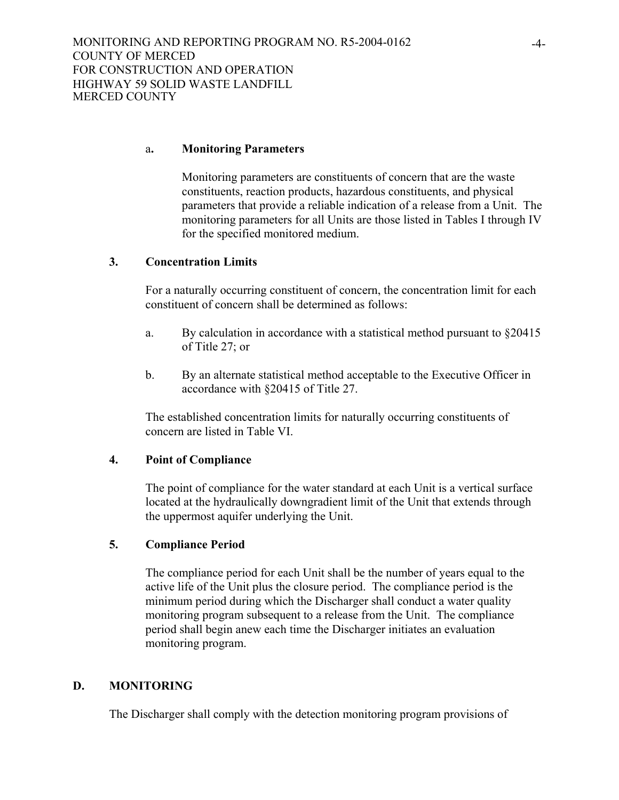#### a**. Monitoring Parameters**

 Monitoring parameters are constituents of concern that are the waste constituents, reaction products, hazardous constituents, and physical parameters that provide a reliable indication of a release from a Unit. The monitoring parameters for all Units are those listed in Tables I through IV for the specified monitored medium.

#### **3. Concentration Limits**

 For a naturally occurring constituent of concern, the concentration limit for each constituent of concern shall be determined as follows:

- a. By calculation in accordance with a statistical method pursuant to §20415 of Title 27; or
- b. By an alternate statistical method acceptable to the Executive Officer in accordance with §20415 of Title 27.

 The established concentration limits for naturally occurring constituents of concern are listed in Table VI.

#### **4. Point of Compliance**

 The point of compliance for the water standard at each Unit is a vertical surface located at the hydraulically downgradient limit of the Unit that extends through the uppermost aquifer underlying the Unit.

## **5. Compliance Period**

 The compliance period for each Unit shall be the number of years equal to the active life of the Unit plus the closure period. The compliance period is the minimum period during which the Discharger shall conduct a water quality monitoring program subsequent to a release from the Unit. The compliance period shall begin anew each time the Discharger initiates an evaluation monitoring program.

#### **D. MONITORING**

The Discharger shall comply with the detection monitoring program provisions of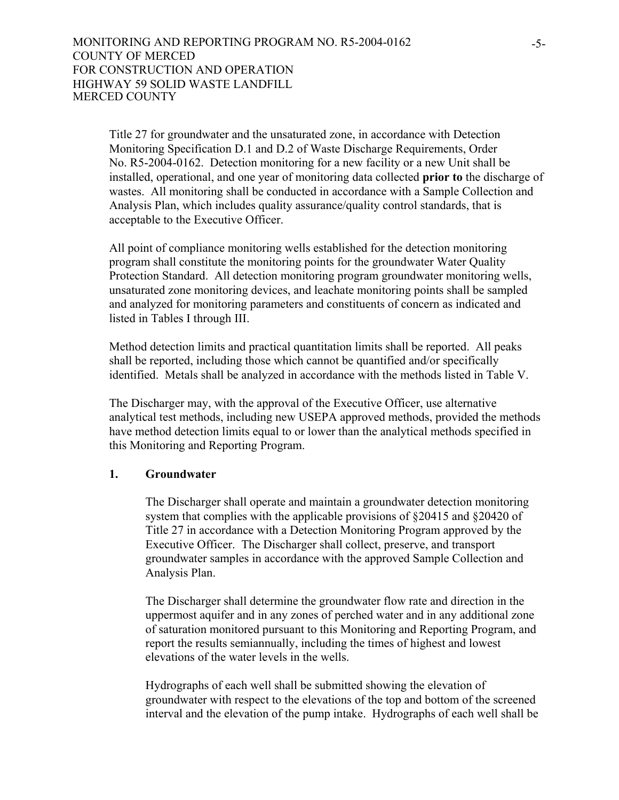Title 27 for groundwater and the unsaturated zone, in accordance with Detection Monitoring Specification D.1 and D.2 of Waste Discharge Requirements, Order No. R5-2004-0162. Detection monitoring for a new facility or a new Unit shall be installed, operational, and one year of monitoring data collected **prior to** the discharge of wastes. All monitoring shall be conducted in accordance with a Sample Collection and Analysis Plan, which includes quality assurance/quality control standards, that is acceptable to the Executive Officer.

All point of compliance monitoring wells established for the detection monitoring program shall constitute the monitoring points for the groundwater Water Quality Protection Standard. All detection monitoring program groundwater monitoring wells, unsaturated zone monitoring devices, and leachate monitoring points shall be sampled and analyzed for monitoring parameters and constituents of concern as indicated and listed in Tables I through III.

Method detection limits and practical quantitation limits shall be reported. All peaks shall be reported, including those which cannot be quantified and/or specifically identified. Metals shall be analyzed in accordance with the methods listed in Table V.

The Discharger may, with the approval of the Executive Officer, use alternative analytical test methods, including new USEPA approved methods, provided the methods have method detection limits equal to or lower than the analytical methods specified in this Monitoring and Reporting Program.

#### **1. Groundwater**

The Discharger shall operate and maintain a groundwater detection monitoring system that complies with the applicable provisions of §20415 and §20420 of Title 27 in accordance with a Detection Monitoring Program approved by the Executive Officer. The Discharger shall collect, preserve, and transport groundwater samples in accordance with the approved Sample Collection and Analysis Plan.

The Discharger shall determine the groundwater flow rate and direction in the uppermost aquifer and in any zones of perched water and in any additional zone of saturation monitored pursuant to this Monitoring and Reporting Program, and report the results semiannually, including the times of highest and lowest elevations of the water levels in the wells.

Hydrographs of each well shall be submitted showing the elevation of groundwater with respect to the elevations of the top and bottom of the screened interval and the elevation of the pump intake. Hydrographs of each well shall be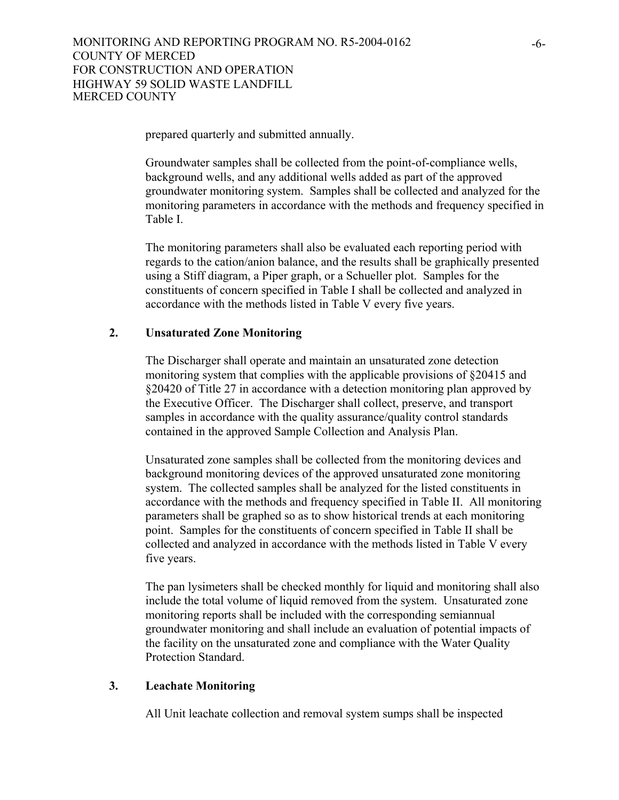prepared quarterly and submitted annually.

Groundwater samples shall be collected from the point-of-compliance wells, background wells, and any additional wells added as part of the approved groundwater monitoring system. Samples shall be collected and analyzed for the monitoring parameters in accordance with the methods and frequency specified in Table I.

The monitoring parameters shall also be evaluated each reporting period with regards to the cation/anion balance, and the results shall be graphically presented using a Stiff diagram, a Piper graph, or a Schueller plot. Samples for the constituents of concern specified in Table I shall be collected and analyzed in accordance with the methods listed in Table V every five years.

## **2. Unsaturated Zone Monitoring**

The Discharger shall operate and maintain an unsaturated zone detection monitoring system that complies with the applicable provisions of §20415 and §20420 of Title 27 in accordance with a detection monitoring plan approved by the Executive Officer. The Discharger shall collect, preserve, and transport samples in accordance with the quality assurance/quality control standards contained in the approved Sample Collection and Analysis Plan.

Unsaturated zone samples shall be collected from the monitoring devices and background monitoring devices of the approved unsaturated zone monitoring system. The collected samples shall be analyzed for the listed constituents in accordance with the methods and frequency specified in Table II. All monitoring parameters shall be graphed so as to show historical trends at each monitoring point. Samples for the constituents of concern specified in Table II shall be collected and analyzed in accordance with the methods listed in Table V every five years.

The pan lysimeters shall be checked monthly for liquid and monitoring shall also include the total volume of liquid removed from the system. Unsaturated zone monitoring reports shall be included with the corresponding semiannual groundwater monitoring and shall include an evaluation of potential impacts of the facility on the unsaturated zone and compliance with the Water Quality Protection Standard.

#### **3. Leachate Monitoring**

All Unit leachate collection and removal system sumps shall be inspected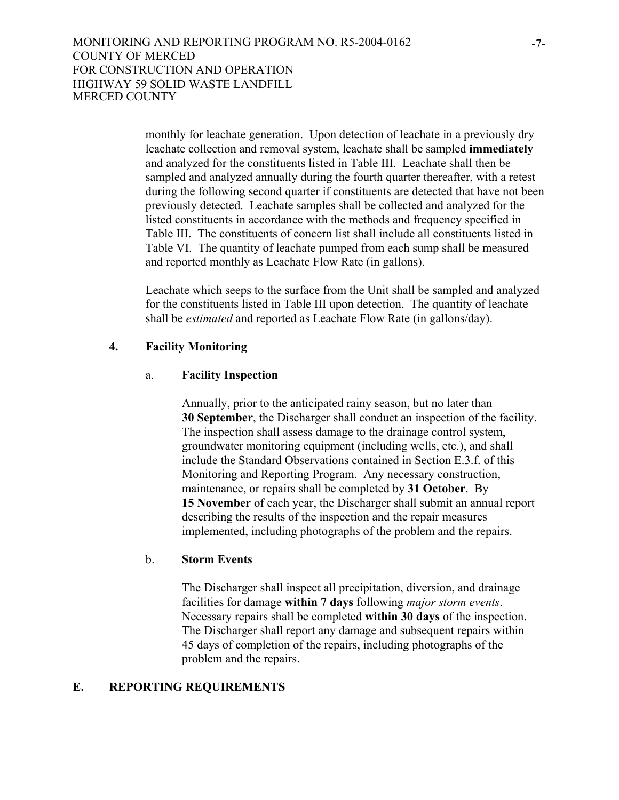monthly for leachate generation. Upon detection of leachate in a previously dry leachate collection and removal system, leachate shall be sampled **immediately** and analyzed for the constituents listed in Table III. Leachate shall then be sampled and analyzed annually during the fourth quarter thereafter, with a retest during the following second quarter if constituents are detected that have not been previously detected. Leachate samples shall be collected and analyzed for the listed constituents in accordance with the methods and frequency specified in Table III. The constituents of concern list shall include all constituents listed in Table VI. The quantity of leachate pumped from each sump shall be measured and reported monthly as Leachate Flow Rate (in gallons).

Leachate which seeps to the surface from the Unit shall be sampled and analyzed for the constituents listed in Table III upon detection. The quantity of leachate shall be *estimated* and reported as Leachate Flow Rate (in gallons/day).

#### **4. Facility Monitoring**

#### a. **Facility Inspection**

Annually, prior to the anticipated rainy season, but no later than **30 September**, the Discharger shall conduct an inspection of the facility. The inspection shall assess damage to the drainage control system, groundwater monitoring equipment (including wells, etc.), and shall include the Standard Observations contained in Section E.3.f. of this Monitoring and Reporting Program. Any necessary construction, maintenance, or repairs shall be completed by **31 October**. By **15 November** of each year, the Discharger shall submit an annual report describing the results of the inspection and the repair measures implemented, including photographs of the problem and the repairs.

#### b. **Storm Events**

The Discharger shall inspect all precipitation, diversion, and drainage facilities for damage **within 7 days** following *major storm events*. Necessary repairs shall be completed **within 30 days** of the inspection. The Discharger shall report any damage and subsequent repairs within 45 days of completion of the repairs, including photographs of the problem and the repairs.

#### **E. REPORTING REQUIREMENTS**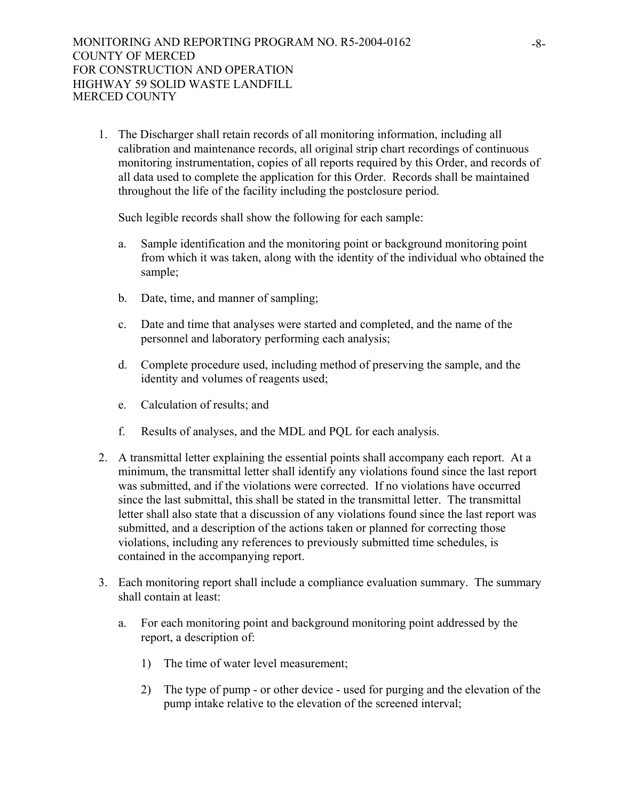1. The Discharger shall retain records of all monitoring information, including all calibration and maintenance records, all original strip chart recordings of continuous monitoring instrumentation, copies of all reports required by this Order, and records of all data used to complete the application for this Order. Records shall be maintained throughout the life of the facility including the postclosure period.

Such legible records shall show the following for each sample:

- a. Sample identification and the monitoring point or background monitoring point from which it was taken, along with the identity of the individual who obtained the sample;
- b. Date, time, and manner of sampling;
- c. Date and time that analyses were started and completed, and the name of the personnel and laboratory performing each analysis;
- d. Complete procedure used, including method of preserving the sample, and the identity and volumes of reagents used;
- e. Calculation of results; and
- f. Results of analyses, and the MDL and PQL for each analysis.
- 2. A transmittal letter explaining the essential points shall accompany each report. At a minimum, the transmittal letter shall identify any violations found since the last report was submitted, and if the violations were corrected. If no violations have occurred since the last submittal, this shall be stated in the transmittal letter. The transmittal letter shall also state that a discussion of any violations found since the last report was submitted, and a description of the actions taken or planned for correcting those violations, including any references to previously submitted time schedules, is contained in the accompanying report.
- 3. Each monitoring report shall include a compliance evaluation summary. The summary shall contain at least:
	- a. For each monitoring point and background monitoring point addressed by the report, a description of:
		- 1) The time of water level measurement;
		- 2) The type of pump or other device used for purging and the elevation of the pump intake relative to the elevation of the screened interval;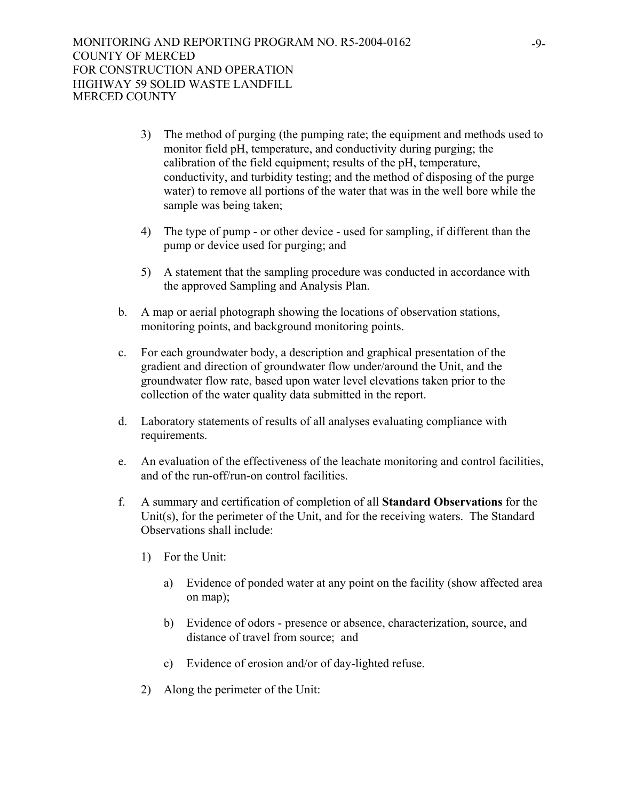- 3) The method of purging (the pumping rate; the equipment and methods used to monitor field pH, temperature, and conductivity during purging; the calibration of the field equipment; results of the pH, temperature, conductivity, and turbidity testing; and the method of disposing of the purge water) to remove all portions of the water that was in the well bore while the sample was being taken;
- 4) The type of pump or other device used for sampling, if different than the pump or device used for purging; and
- 5) A statement that the sampling procedure was conducted in accordance with the approved Sampling and Analysis Plan.
- b. A map or aerial photograph showing the locations of observation stations, monitoring points, and background monitoring points.
- c. For each groundwater body, a description and graphical presentation of the gradient and direction of groundwater flow under/around the Unit, and the groundwater flow rate, based upon water level elevations taken prior to the collection of the water quality data submitted in the report.
- d. Laboratory statements of results of all analyses evaluating compliance with requirements.
- e. An evaluation of the effectiveness of the leachate monitoring and control facilities, and of the run-off/run-on control facilities.
- f. A summary and certification of completion of all **Standard Observations** for the Unit(s), for the perimeter of the Unit, and for the receiving waters. The Standard Observations shall include:
	- 1) For the Unit:
		- a) Evidence of ponded water at any point on the facility (show affected area on map);
		- b) Evidence of odors presence or absence, characterization, source, and distance of travel from source; and
		- c) Evidence of erosion and/or of day-lighted refuse.
	- 2) Along the perimeter of the Unit: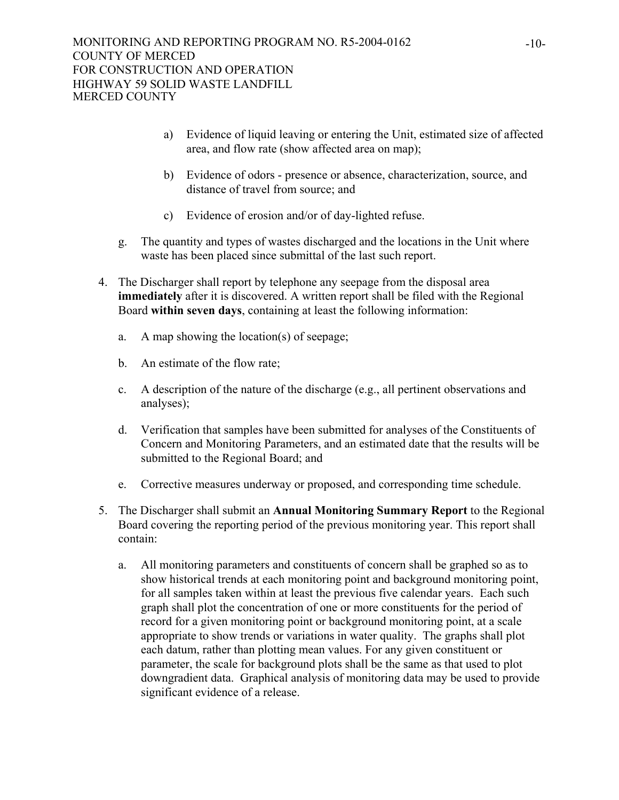- a) Evidence of liquid leaving or entering the Unit, estimated size of affected area, and flow rate (show affected area on map);
- b) Evidence of odors presence or absence, characterization, source, and distance of travel from source; and
- c) Evidence of erosion and/or of day-lighted refuse.
- g. The quantity and types of wastes discharged and the locations in the Unit where waste has been placed since submittal of the last such report.
- 4. The Discharger shall report by telephone any seepage from the disposal area **immediately** after it is discovered. A written report shall be filed with the Regional Board **within seven days**, containing at least the following information:
	- a. A map showing the location(s) of seepage;
	- b. An estimate of the flow rate;
	- c. A description of the nature of the discharge (e.g., all pertinent observations and analyses);
	- d. Verification that samples have been submitted for analyses of the Constituents of Concern and Monitoring Parameters, and an estimated date that the results will be submitted to the Regional Board; and
	- e. Corrective measures underway or proposed, and corresponding time schedule.
- 5. The Discharger shall submit an **Annual Monitoring Summary Report** to the Regional Board covering the reporting period of the previous monitoring year. This report shall contain:
	- a. All monitoring parameters and constituents of concern shall be graphed so as to show historical trends at each monitoring point and background monitoring point, for all samples taken within at least the previous five calendar years. Each such graph shall plot the concentration of one or more constituents for the period of record for a given monitoring point or background monitoring point, at a scale appropriate to show trends or variations in water quality. The graphs shall plot each datum, rather than plotting mean values. For any given constituent or parameter, the scale for background plots shall be the same as that used to plot downgradient data. Graphical analysis of monitoring data may be used to provide significant evidence of a release.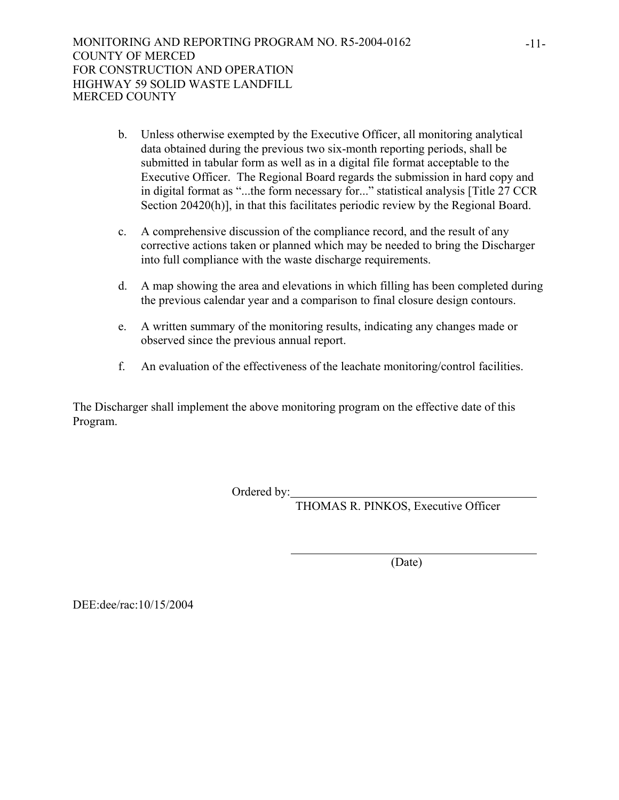- b. Unless otherwise exempted by the Executive Officer, all monitoring analytical data obtained during the previous two six-month reporting periods, shall be submitted in tabular form as well as in a digital file format acceptable to the Executive Officer. The Regional Board regards the submission in hard copy and in digital format as "...the form necessary for..." statistical analysis [Title 27 CCR Section 20420(h)], in that this facilitates periodic review by the Regional Board.
- c. A comprehensive discussion of the compliance record, and the result of any corrective actions taken or planned which may be needed to bring the Discharger into full compliance with the waste discharge requirements.
- d. A map showing the area and elevations in which filling has been completed during the previous calendar year and a comparison to final closure design contours.
- e. A written summary of the monitoring results, indicating any changes made or observed since the previous annual report.
- f. An evaluation of the effectiveness of the leachate monitoring/control facilities.

The Discharger shall implement the above monitoring program on the effective date of this Program.

Ordered by:

THOMAS R. PINKOS, Executive Officer

(Date)

DEE:dee/rac:10/15/2004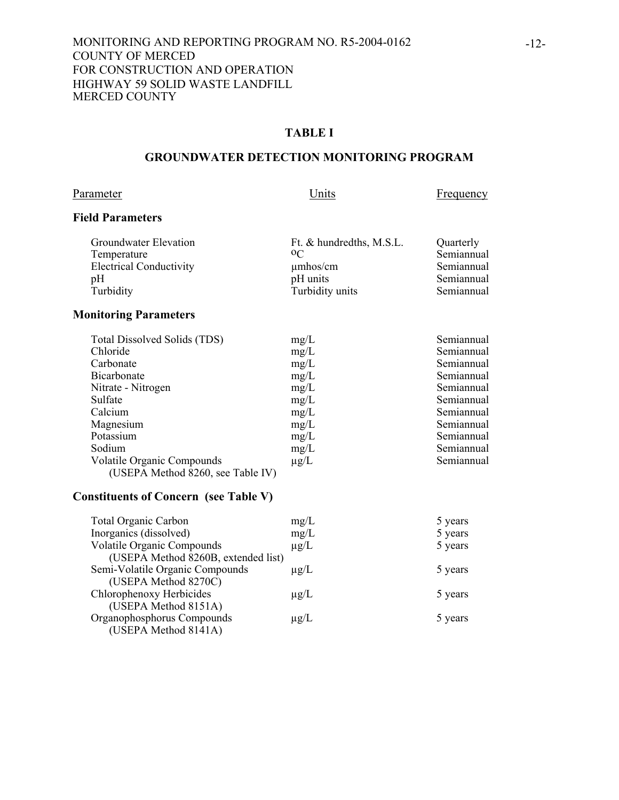## **TABLE I**

## **GROUNDWATER DETECTION MONITORING PROGRAM**

#### Parameter Units Erequency

## **Field Parameters**

| Groundwater Elevation          | Ft. & hundredths, M.S.L. | Quarterly  |
|--------------------------------|--------------------------|------------|
| Temperature                    | 0 <sup>C</sup>           | Semiannual |
| <b>Electrical Conductivity</b> | $\mu$ mhos/cm            | Semiannual |
| pΗ                             | pH units                 | Semiannual |
| Turbidity                      | Turbidity units          | Semiannual |
|                                |                          |            |

## **Monitoring Parameters**

| Total Dissolved Solids (TDS)      | mg/L      | Semiannual |
|-----------------------------------|-----------|------------|
| Chloride                          | mg/L      | Semiannual |
| Carbonate                         | mg/L      | Semiannual |
| <b>Bicarbonate</b>                | mg/L      | Semiannual |
| Nitrate - Nitrogen                | mg/L      | Semiannual |
| Sulfate                           | mg/L      | Semiannual |
| Calcium                           | mg/L      | Semiannual |
| Magnesium                         | mg/L      | Semiannual |
| Potassium                         | mg/L      | Semiannual |
| Sodium                            | mg/L      | Semiannual |
| <b>Volatile Organic Compounds</b> | $\mu$ g/L | Semiannual |
| (USEPA Method 8260, see Table IV) |           |            |

## **Constituents of Concern (see Table V)**

| <b>Total Organic Carbon</b>         | mg/L      | 5 years |
|-------------------------------------|-----------|---------|
| Inorganics (dissolved)              | mg/L      | 5 years |
| <b>Volatile Organic Compounds</b>   | $\mu$ g/L | 5 years |
| (USEPA Method 8260B, extended list) |           |         |
| Semi-Volatile Organic Compounds     | $\mu$ g/L | 5 years |
| (USEPA Method 8270C)                |           |         |
| Chlorophenoxy Herbicides            | $\mu$ g/L | 5 years |
| (USEPA Method 8151A)                |           |         |
| Organophosphorus Compounds          | $\mu$ g/L | 5 years |
| (USEPA Method 8141A)                |           |         |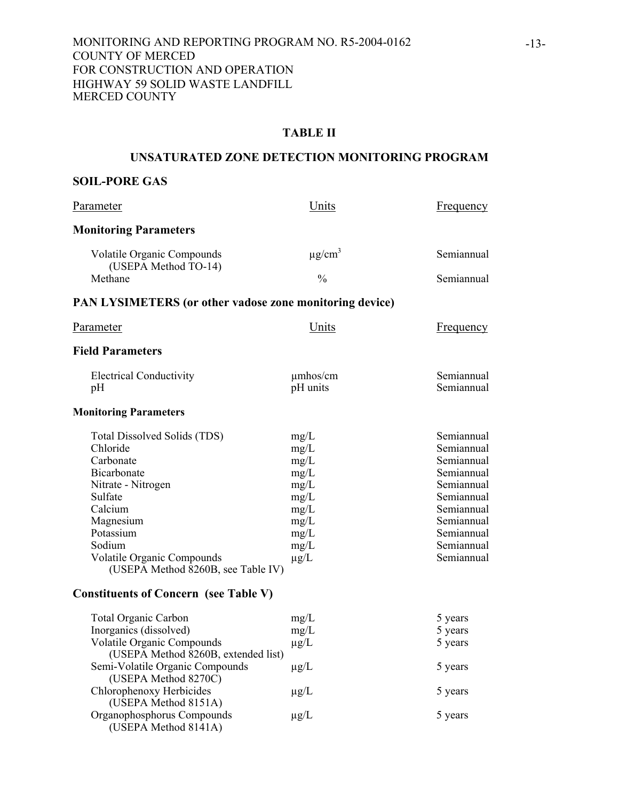#### **TABLE II**

#### **UNSATURATED ZONE DETECTION MONITORING PROGRAM**

## **SOIL-PORE GAS**

| Parameter                                                                                                                                                                                                                | Units                                                                                     | <b>Frequency</b>                                                                                                                                       |
|--------------------------------------------------------------------------------------------------------------------------------------------------------------------------------------------------------------------------|-------------------------------------------------------------------------------------------|--------------------------------------------------------------------------------------------------------------------------------------------------------|
| <b>Monitoring Parameters</b>                                                                                                                                                                                             |                                                                                           |                                                                                                                                                        |
| Volatile Organic Compounds                                                                                                                                                                                               | $\mu$ g/cm <sup>3</sup>                                                                   | Semiannual                                                                                                                                             |
| (USEPA Method TO-14)<br>Methane                                                                                                                                                                                          | $\frac{0}{0}$                                                                             | Semiannual                                                                                                                                             |
| <b>PAN LYSIMETERS (or other vadose zone monitoring device)</b>                                                                                                                                                           |                                                                                           |                                                                                                                                                        |
| Parameter                                                                                                                                                                                                                | Units                                                                                     | Frequency                                                                                                                                              |
| <b>Field Parameters</b>                                                                                                                                                                                                  |                                                                                           |                                                                                                                                                        |
| <b>Electrical Conductivity</b><br>pH                                                                                                                                                                                     | $\mu$ mhos/cm<br>pH units                                                                 | Semiannual<br>Semiannual                                                                                                                               |
| <b>Monitoring Parameters</b>                                                                                                                                                                                             |                                                                                           |                                                                                                                                                        |
| Total Dissolved Solids (TDS)<br>Chloride<br>Carbonate<br>Bicarbonate<br>Nitrate - Nitrogen<br>Sulfate<br>Calcium<br>Magnesium<br>Potassium<br>Sodium<br>Volatile Organic Compounds<br>(USEPA Method 8260B, see Table IV) | mg/L<br>mg/L<br>mg/L<br>mg/L<br>mg/L<br>mg/L<br>mg/L<br>mg/L<br>mg/L<br>mg/L<br>$\mu$ g/L | Semiannual<br>Semiannual<br>Semiannual<br>Semiannual<br>Semiannual<br>Semiannual<br>Semiannual<br>Semiannual<br>Semiannual<br>Semiannual<br>Semiannual |
| <b>Constituents of Concern (see Table V)</b>                                                                                                                                                                             |                                                                                           |                                                                                                                                                        |
| <b>Total Organic Carbon</b><br>Inorganics (dissolved)<br>Volatile Organic Compounds<br>(USEPA Method 8260B, extended list)                                                                                               | mg/L<br>mg/L<br>$\mu$ g/L                                                                 | 5 years<br>5 years<br>5 years                                                                                                                          |
| Semi-Volatile Organic Compounds<br>(USEPA Method 8270C)                                                                                                                                                                  | $\mu$ g/L                                                                                 | 5 years                                                                                                                                                |
| Chlorophenoxy Herbicides<br>(USEPA Method 8151A)                                                                                                                                                                         | $\mu$ g/L                                                                                 | 5 years                                                                                                                                                |
| Organophosphorus Compounds<br>(USEPA Method 8141A)                                                                                                                                                                       | $\mu$ g/L                                                                                 | 5 years                                                                                                                                                |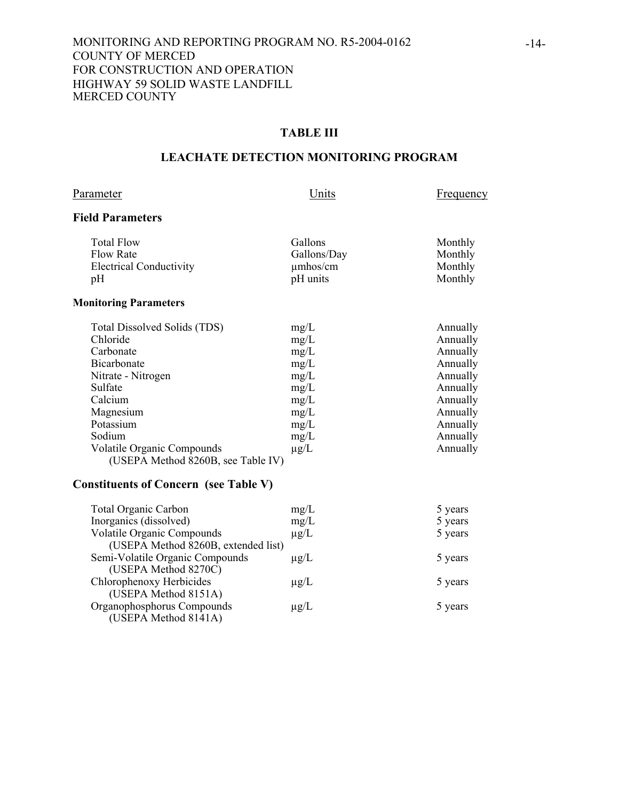## **TABLE III**

## **LEACHATE DETECTION MONITORING PROGRAM**

## Parameter Units Erequency

## **Field Parameters**

| <b>Total Flow</b>              | <b>Gallons</b> | Monthly |
|--------------------------------|----------------|---------|
| Flow Rate                      | Gallons/Day    | Monthly |
| <b>Electrical Conductivity</b> | $\mu$ mhos/cm  | Monthly |
| pH                             | pH units       | Monthly |
|                                |                |         |

## **Monitoring Parameters**

| Total Dissolved Solids (TDS)       | mg/L      | Annually |
|------------------------------------|-----------|----------|
| Chloride                           | mg/L      | Annually |
| Carbonate                          | mg/L      | Annually |
| Bicarbonate                        | mg/L      | Annually |
| Nitrate - Nitrogen                 | mg/L      | Annually |
| Sulfate                            | mg/L      | Annually |
| Calcium                            | mg/L      | Annually |
| Magnesium                          | mg/L      | Annually |
| Potassium                          | mg/L      | Annually |
| Sodium                             | mg/L      | Annually |
| <b>Volatile Organic Compounds</b>  | $\mu$ g/L | Annually |
| (USEPA Method 8260B, see Table IV) |           |          |

## **Constituents of Concern (see Table V)**

| <b>Total Organic Carbon</b>         | mg/L      | 5 years |
|-------------------------------------|-----------|---------|
| Inorganics (dissolved)              | mg/L      | 5 years |
| <b>Volatile Organic Compounds</b>   | $\mu$ g/L | 5 years |
| (USEPA Method 8260B, extended list) |           |         |
| Semi-Volatile Organic Compounds     | $\mu$ g/L | 5 years |
| (USEPA Method 8270C)                |           |         |
| Chlorophenoxy Herbicides            | $\mu$ g/L | 5 years |
| (USEPA Method 8151A)                |           |         |
| Organophosphorus Compounds          | $\mu$ g/L | 5 years |
| (USEPA Method 8141A)                |           |         |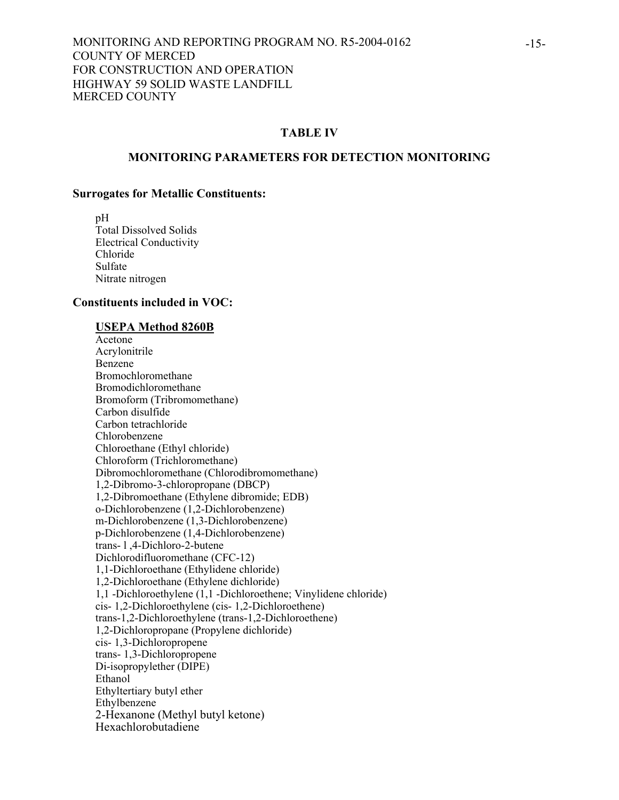#### **TABLE IV**

#### **MONITORING PARAMETERS FOR DETECTION MONITORING**

#### **Surrogates for Metallic Constituents:**

 pH Total Dissolved Solids Electrical Conductivity Chloride Sulfate Nitrate nitrogen

#### **Constituents included in VOC:**

#### **USEPA Method 8260B**

 Acetone Acrylonitrile Benzene Bromochloromethane Bromodichloromethane Bromoform (Tribromomethane) Carbon disulfide Carbon tetrachloride Chlorobenzene Chloroethane (Ethyl chloride) Chloroform (Trichloromethane) Dibromochloromethane (Chlorodibromomethane) 1,2-Dibromo-3-chloropropane (DBCP) 1,2-Dibromoethane (Ethylene dibromide; EDB) o-Dichlorobenzene (1,2-Dichlorobenzene) m-Dichlorobenzene (1,3-Dichlorobenzene) p-Dichlorobenzene (1,4-Dichlorobenzene) trans- l ,4-Dichloro-2-butene Dichlorodifluoromethane (CFC-12) 1,1-Dichloroethane (Ethylidene chloride) 1,2-Dichloroethane (Ethylene dichloride) 1,1 -Dichloroethylene (1,1 -Dichloroethene; Vinylidene chloride) cis- 1,2-Dichloroethylene (cis- 1,2-Dichloroethene) trans-1,2-Dichloroethylene (trans-1,2-Dichloroethene) 1,2-Dichloropropane (Propylene dichloride) cis- 1,3-Dichloropropene trans- 1,3-Dichloropropene Di-isopropylether (DIPE) Ethanol Ethyltertiary butyl ether Ethylbenzene 2-Hexanone (Methyl butyl ketone) Hexachlorobutadiene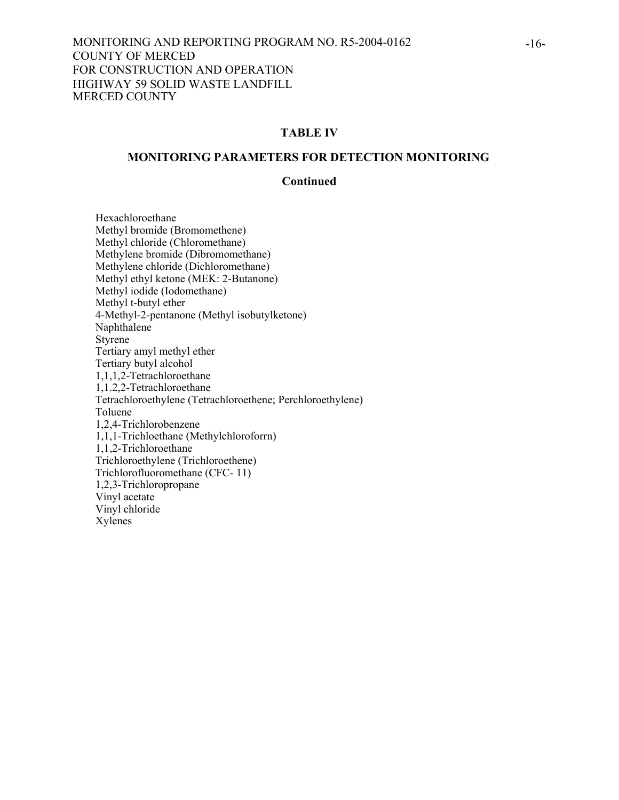## **TABLE IV**

#### **MONITORING PARAMETERS FOR DETECTION MONITORING**

#### **Continued**

 Hexachloroethane Methyl bromide (Bromomethene) Methyl chloride (Chloromethane) Methylene bromide (Dibromomethane) Methylene chloride (Dichloromethane) Methyl ethyl ketone (MEK: 2-Butanone) Methyl iodide (Iodomethane) Methyl t-butyl ether 4-Methyl-2-pentanone (Methyl isobutylketone) Naphthalene Styrene Tertiary amyl methyl ether Tertiary butyl alcohol 1,1,1,2-Tetrachloroethane 1,1.2,2-Tetrachloroethane Tetrachloroethylene (Tetrachloroethene; Perchloroethylene) Toluene 1,2,4-Trichlorobenzene 1,1,1-Trichloethane (Methylchloroforrn) 1,1,2-Trichloroethane Trichloroethylene (Trichloroethene) Trichlorofluoromethane (CFC- 11) 1,2,3-Trichloropropane Vinyl acetate Vinyl chloride Xylenes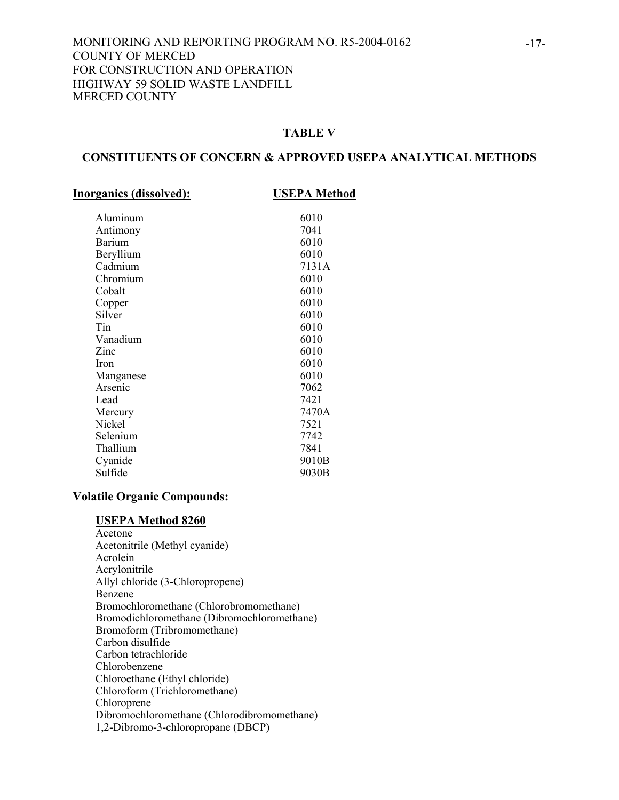#### **TABLE V**

#### **CONSTITUENTS OF CONCERN & APPROVED USEPA ANALYTICAL METHODS**

**Inorganics (dissolved): USEPA Method**

| Aluminum<br>Antimony<br><b>Barium</b><br>Beryllium<br>Cadmium<br>Chromium<br>Cobalt<br>Copper<br>Silver<br>Tin<br>Vanadium<br>Zinc<br><b>Iron</b><br>Manganese<br>Arsenic<br>Lead | 6010<br>7041<br>6010<br>6010<br>7131A<br>6010<br>6010<br>6010<br>6010<br>6010<br>6010<br>6010<br>6010<br>6010<br>7062<br>7421 |
|-----------------------------------------------------------------------------------------------------------------------------------------------------------------------------------|-------------------------------------------------------------------------------------------------------------------------------|
| Mercury<br>Nickel<br>Selenium<br>Thallium<br>Cyanide<br>Sulfide                                                                                                                   | 7470A<br>7521<br>7742<br>7841<br>9010B<br>9030B                                                                               |

#### **Volatile Organic Compounds:**

#### **USEPA Method 8260**

 Acetone Acetonitrile (Methyl cyanide) Acrolein Acrylonitrile Allyl chloride (3-Chloropropene) Benzene Bromochloromethane (Chlorobromomethane) Bromodichloromethane (Dibromochloromethane) Bromoform (Tribromomethane) Carbon disulfide Carbon tetrachloride Chlorobenzene Chloroethane (Ethyl chloride) Chloroform (Trichloromethane) Chloroprene Dibromochloromethane (Chlorodibromomethane) 1,2-Dibromo-3-chloropropane (DBCP)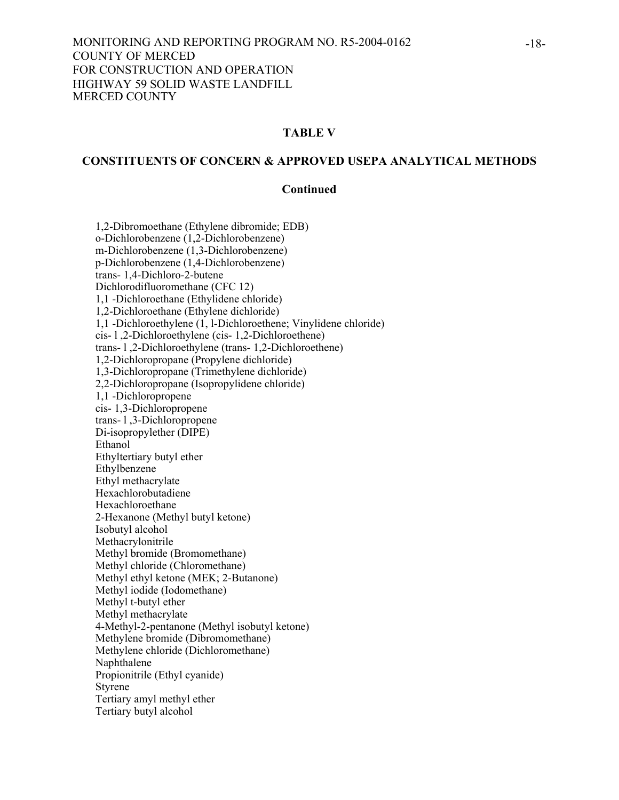## **TABLE V**

#### **CONSTITUENTS OF CONCERN & APPROVED USEPA ANALYTICAL METHODS**

#### **Continued**

1,2-Dibromoethane (Ethylene dibromide; EDB) o-Dichlorobenzene (1,2-Dichlorobenzene) m-Dichlorobenzene (1,3-Dichlorobenzene) p-Dichlorobenzene (1,4-Dichlorobenzene) trans- 1,4-Dichloro-2-butene Dichlorodifluoromethane (CFC 12) 1,1 -Dichloroethane (Ethylidene chloride) 1,2-Dichloroethane (Ethylene dichloride) 1,1 -Dichloroethylene (1, l-Dichloroethene; Vinylidene chloride) cis- l ,2-Dichloroethylene (cis- 1,2-Dichloroethene) trans- l ,2-Dichloroethylene (trans- 1,2-Dichloroethene) 1,2-Dichloropropane (Propylene dichloride) 1,3-Dichloropropane (Trimethylene dichloride) 2,2-Dichloropropane (Isopropylidene chloride) 1,1 -Dichloropropene cis- 1,3-Dichloropropene trans- l ,3-Dichloropropene Di-isopropylether (DIPE) Ethanol Ethyltertiary butyl ether Ethylbenzene Ethyl methacrylate Hexachlorobutadiene Hexachloroethane 2-Hexanone (Methyl butyl ketone) Isobutyl alcohol Methacrylonitrile Methyl bromide (Bromomethane) Methyl chloride (Chloromethane) Methyl ethyl ketone (MEK; 2-Butanone) Methyl iodide (Iodomethane) Methyl t-butyl ether Methyl methacrylate 4-Methyl-2-pentanone (Methyl isobutyl ketone) Methylene bromide (Dibromomethane) Methylene chloride (Dichloromethane) Naphthalene Propionitrile (Ethyl cyanide) Styrene Tertiary amyl methyl ether Tertiary butyl alcohol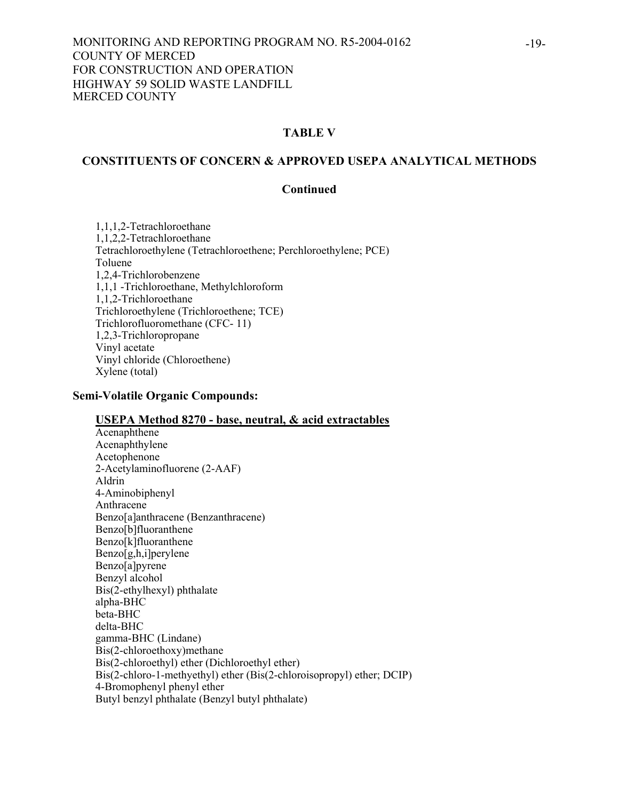## **TABLE V**

## **CONSTITUENTS OF CONCERN & APPROVED USEPA ANALYTICAL METHODS**

#### **Continued**

 1,1,1,2-Tetrachloroethane 1,1,2,2-Tetrachloroethane Tetrachloroethylene (Tetrachloroethene; Perchloroethylene; PCE) Toluene 1,2,4-Trichlorobenzene 1,1,1 -Trichloroethane, Methylchloroform 1,1,2-Trichloroethane Trichloroethylene (Trichloroethene; TCE) Trichlorofluoromethane (CFC- 11) 1,2,3-Trichloropropane Vinyl acetate Vinyl chloride (Chloroethene) Xylene (total)

#### **Semi-Volatile Organic Compounds:**

#### **USEPA Method 8270 - base, neutral, & acid extractables**

 Acenaphthene Acenaphthylene Acetophenone 2-Acetylaminofluorene (2-AAF) Aldrin 4-Aminobiphenyl Anthracene Benzo[a]anthracene (Benzanthracene) Benzo[b]fluoranthene Benzo[k]fluoranthene Benzo[g,h,i]perylene Benzo[a]pyrene Benzyl alcohol Bis(2-ethylhexyl) phthalate alpha-BHC beta-BHC delta-BHC gamma-BHC (Lindane) Bis(2-chloroethoxy)methane Bis(2-chloroethyl) ether (Dichloroethyl ether) Bis(2-chloro-1-methyethyl) ether (Bis(2-chloroisopropyl) ether; DCIP) 4-Bromophenyl phenyl ether Butyl benzyl phthalate (Benzyl butyl phthalate)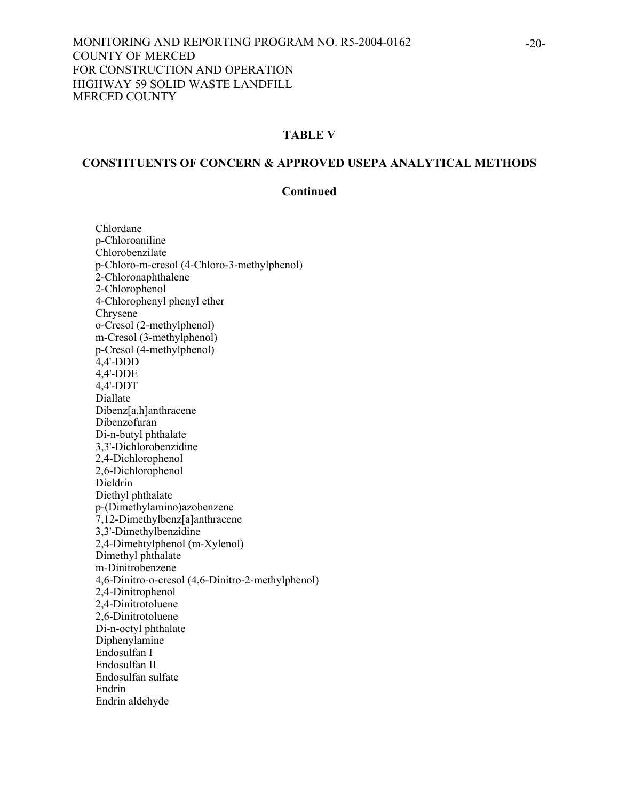## **TABLE V**

## **CONSTITUENTS OF CONCERN & APPROVED USEPA ANALYTICAL METHODS**

#### **Continued**

 Chlordane p-Chloroaniline Chlorobenzilate p-Chloro-m-cresol (4-Chloro-3-methylphenol) 2-Chloronaphthalene 2-Chlorophenol 4-Chlorophenyl phenyl ether Chrysene<sup>1</sup> o-Cresol (2-methylphenol) m-Cresol (3-methylphenol) p-Cresol (4-methylphenol)  $4,4'$ -DDD 4,4'-DDE 4,4'-DDT Diallate Dibenz[a,h]anthracene Dibenzofuran Di-n-butyl phthalate 3,3'-Dichlorobenzidine 2,4-Dichlorophenol 2,6-Dichlorophenol Dieldrin Diethyl phthalate p-(Dimethylamino)azobenzene 7,12-Dimethylbenz[a]anthracene 3,3'-Dimethylbenzidine 2,4-Dimehtylphenol (m-Xylenol) Dimethyl phthalate m-Dinitrobenzene 4,6-Dinitro-o-cresol (4,6-Dinitro-2-methylphenol) 2,4-Dinitrophenol 2,4-Dinitrotoluene 2,6-Dinitrotoluene Di-n-octyl phthalate Diphenylamine Endosulfan I Endosulfan II Endosulfan sulfate Endrin Endrin aldehyde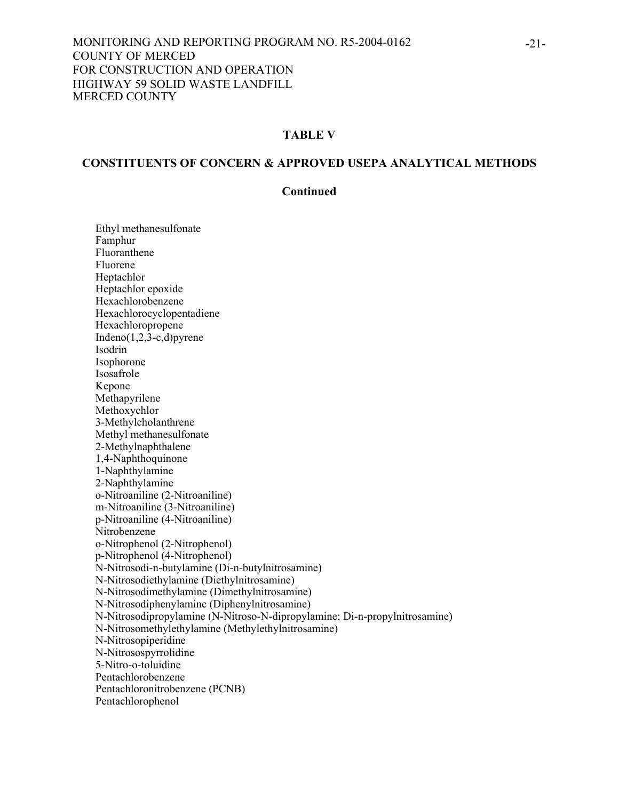## **TABLE V**

#### **CONSTITUENTS OF CONCERN & APPROVED USEPA ANALYTICAL METHODS**

#### **Continued**

Ethyl methanesulfonate Famphur Fluoranthene Fluorene Heptachlor Heptachlor epoxide Hexachlorobenzene Hexachlorocyclopentadiene Hexachloropropene Indeno $(1,2,3-c,d)$ pyrene Isodrin Isophorone Isosafrole Kepone Methapyrilene Methoxychlor 3-Methylcholanthrene Methyl methanesulfonate 2-Methylnaphthalene 1,4-Naphthoquinone 1-Naphthylamine 2-Naphthylamine o-Nitroaniline (2-Nitroaniline) m-Nitroaniline (3-Nitroaniline) p-Nitroaniline (4-Nitroaniline) Nitrobenzene o-Nitrophenol (2-Nitrophenol) p-Nitrophenol (4-Nitrophenol) N-Nitrosodi-n-butylamine (Di-n-butylnitrosamine) N-Nitrosodiethylamine (Diethylnitrosamine) N-Nitrosodimethylamine (Dimethylnitrosamine) N-Nitrosodiphenylamine (Diphenylnitrosamine) N-Nitrosodipropylamine (N-Nitroso-N-dipropylamine; Di-n-propylnitrosamine) N-Nitrosomethylethylamine (Methylethylnitrosamine) N-Nitrosopiperidine N-Nitrosospyrrolidine 5-Nitro-o-toluidine Pentachlorobenzene Pentachloronitrobenzene (PCNB) Pentachlorophenol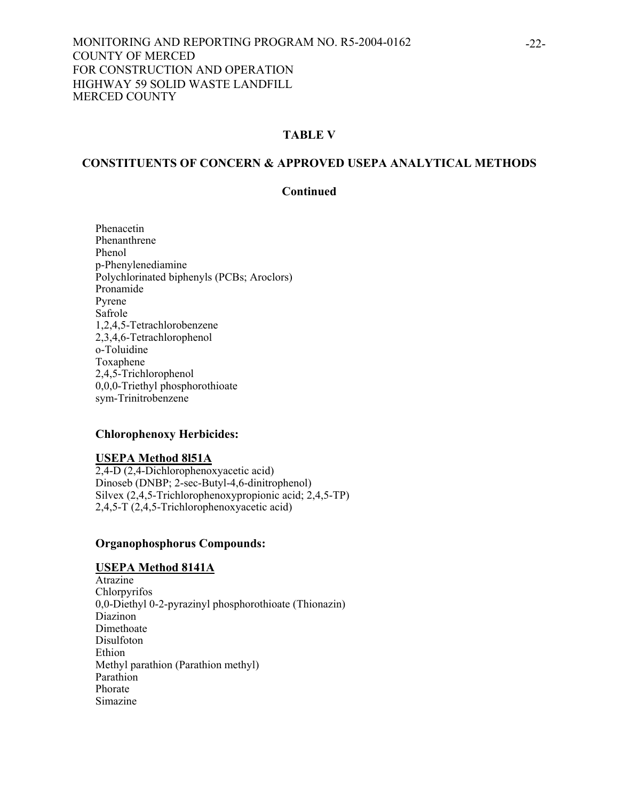## **TABLE V**

#### **CONSTITUENTS OF CONCERN & APPROVED USEPA ANALYTICAL METHODS**

#### **Continued**

Phenacetin Phenanthrene Phenol p-Phenylenediamine Polychlorinated biphenyls (PCBs; Aroclors) Pronamide Pyrene Safrole 1,2,4,5-Tetrachlorobenzene 2,3,4,6-Tetrachlorophenol o-Toluidine Toxaphene 2,4,5-Trichlorophenol 0,0,0-Triethyl phosphorothioate sym-Trinitrobenzene

#### **Chlorophenoxy Herbicides:**

#### **USEPA Method 8l51A**

2,4-D (2,4-Dichlorophenoxyacetic acid) Dinoseb (DNBP; 2-sec-Butyl-4,6-dinitrophenol) Silvex (2,4,5-Trichlorophenoxypropionic acid; 2,4,5-TP) 2,4,5-T (2,4,5-Trichlorophenoxyacetic acid)

#### **Organophosphorus Compounds:**

#### **USEPA Method 8141A**

Atrazine **Chlorpyrifos** 0,0-Diethyl 0-2-pyrazinyl phosphorothioate (Thionazin) Diazinon<sup>1</sup> Dimethoate Disulfoton Ethion Methyl parathion (Parathion methyl) Parathion Phorate Simazine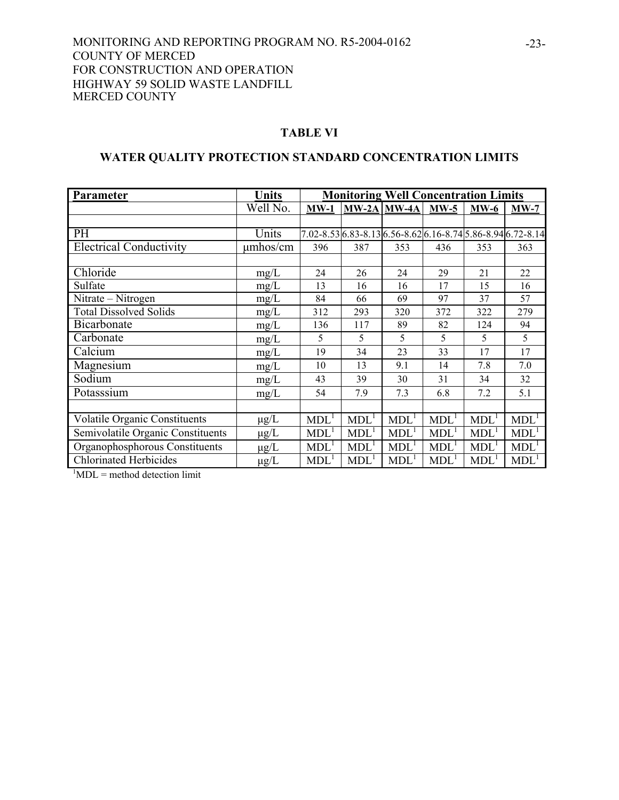#### **TABLE VI**

## **WATER QUALITY PROTECTION STANDARD CONCENTRATION LIMITS**

| Parameter                            | <b>Units</b>  | <b>Monitoring Well Concentration Limits</b> |                  |                                                             |                  |                  |                  |
|--------------------------------------|---------------|---------------------------------------------|------------------|-------------------------------------------------------------|------------------|------------------|------------------|
|                                      | Well No.      | $MW-1$                                      |                  | $MW-2A$ $MW-4A$                                             | $MW-5$           | $MW-6$           | $MW-7$           |
|                                      |               |                                             |                  |                                                             |                  |                  |                  |
| <b>PH</b>                            | Units         |                                             |                  | 7.02-8.53 6.83-8.13 6.56-8.62 6.16-8.74 5.86-8.94 6.72-8.14 |                  |                  |                  |
| <b>Electrical Conductivity</b>       | $\mu$ mhos/cm | 396                                         | 387              | 353                                                         | 436              | 353              | 363              |
|                                      |               |                                             |                  |                                                             |                  |                  |                  |
| Chloride                             | mg/L          | 24                                          | 26               | 24                                                          | 29               | 21               | 22               |
| Sulfate                              | mg/L          | 13                                          | 16               | 16                                                          | 17               | 15               | 16               |
| Nitrate – Nitrogen                   | mg/L          | 84                                          | 66               | 69                                                          | 97               | 37               | 57               |
| <b>Total Dissolved Solids</b>        | mg/L          | 312                                         | 293              | 320                                                         | 372              | 322              | 279              |
| Bicarbonate                          | mg/L          | 136                                         | 117              | 89                                                          | 82               | 124              | 94               |
| Carbonate                            | mg/L          | 5                                           | 5                | 5                                                           | 5                | 5                | 5                |
| Calcium                              | mg/L          | 19                                          | 34               | 23                                                          | 33               | 17               | 17               |
| Magnesium                            | mg/L          | 10                                          | 13               | 9.1                                                         | 14               | 7.8              | 7.0              |
| Sodium                               | mg/L          | 43                                          | 39               | 30                                                          | 31               | 34               | 32               |
| Potasssium                           | mg/L          | 54                                          | 7.9              | 7.3                                                         | 6.8              | 7.2              | 5.1              |
|                                      |               |                                             |                  |                                                             |                  |                  |                  |
| <b>Volatile Organic Constituents</b> | $\mu$ g/L     | MDL <sup>1</sup>                            | MDL <sup>1</sup> | MDL <sup>1</sup>                                            | MDL <sup>1</sup> | MDL <sup>1</sup> | MDL <sup>1</sup> |
| Semivolatile Organic Constituents    | $\mu$ g/L     | MDL <sup>1</sup>                            | MDL <sup>1</sup> | MDL <sup>1</sup>                                            | MDL <sup>1</sup> | MDL <sup>1</sup> | MDL <sup>1</sup> |
| Organophosphorous Constituents       | $\mu$ g/L     | MDL <sup>1</sup>                            | MDL <sup>1</sup> | MDL <sup>1</sup>                                            | MDL <sup>1</sup> | MDL <sup>1</sup> | MDL <sup>1</sup> |
| <b>Chlorinated Herbicides</b>        | $\mu g/L$     | MDL <sup>1</sup>                            | MDL <sup>1</sup> | <b>MDL</b>                                                  | MDL <sup>1</sup> | MDL              | MDL <sup>1</sup> |

 ${}^{1}$ MDL = method detection limit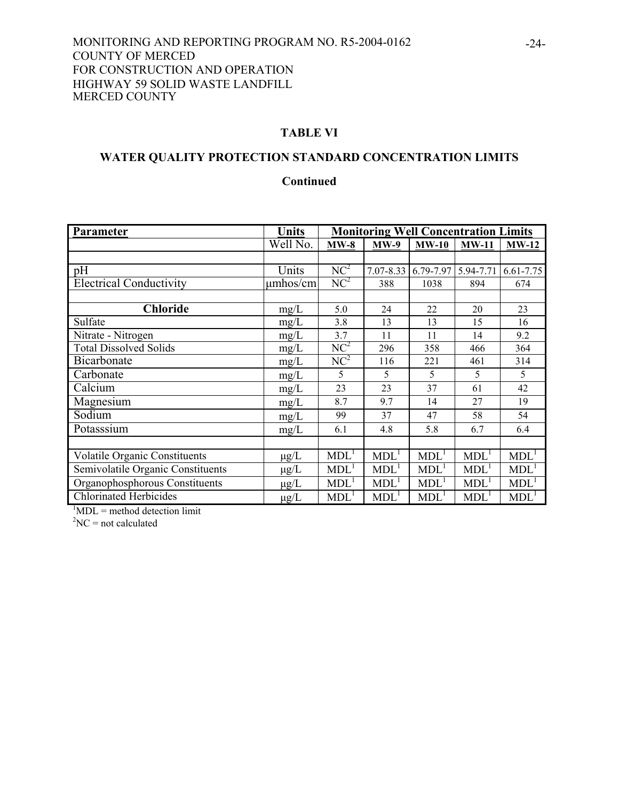## **TABLE VI**

# **WATER QUALITY PROTECTION STANDARD CONCENTRATION LIMITS**

## **Continued**

| Parameter                            | <b>Units</b>  | <b>Monitoring Well Concentration Limits</b> |                  |                  |                  |                    |
|--------------------------------------|---------------|---------------------------------------------|------------------|------------------|------------------|--------------------|
|                                      | Well No.      | $MW-8$                                      | $MW-9$           | $MW-10$          | $MW-11$          | $MW-12$            |
|                                      |               |                                             |                  |                  |                  |                    |
| pH                                   | Units         | NC <sup>2</sup>                             | 7.07-8.33        | 6.79-7.97        | 5.94-7.71        | 6.61-7.75          |
| <b>Electrical Conductivity</b>       | $\mu$ mhos/cm | NC <sup>2</sup>                             | 388              | 1038             | 894              | 674                |
|                                      |               |                                             |                  |                  |                  |                    |
| <b>Chloride</b>                      | mg/L          | 5.0                                         | 24               | 22               | 20               | 23                 |
| Sulfate                              | mg/L          | 3.8                                         | 13               | 13               | 15               | 16                 |
| Nitrate - Nitrogen                   | mg/L          | 3.7                                         | 11               | 11               | 14               | 9.2                |
| <b>Total Dissolved Solids</b>        | mg/L          | NC <sup>2</sup>                             | 296              | 358              | 466              | 364                |
| Bicarbonate                          | mg/L          | NC <sup>2</sup>                             | 116              | 221              | 461              | 314                |
| Carbonate                            | mg/L          | 5                                           | 5                | 5                | 5                | 5                  |
| Calcium                              | mg/L          | 23                                          | 23               | 37               | 61               | 42                 |
| Magnesium                            | mg/L          | 8.7                                         | 9.7              | 14               | 27               | 19                 |
| Sodium                               | mg/L          | 99                                          | 37               | 47               | 58               | 54                 |
| Potasssium                           | mg/L          | 6.1                                         | 4.8              | 5.8              | 6.7              | 6.4                |
|                                      |               |                                             |                  |                  |                  |                    |
| <b>Volatile Organic Constituents</b> | $\mu g/L$     | MDL <sup>1</sup>                            | MDL <sup>1</sup> | MDL <sup>1</sup> | MDL <sup>1</sup> | MDL <sup>1</sup>   |
| Semivolatile Organic Constituents    | $\mu g/L$     | MDL <sup>1</sup>                            | MDL <sup>1</sup> | MDL <sup>1</sup> | MDL <sup>1</sup> | MDL <sup>1</sup>   |
| Organophosphorous Constituents       | $\mu$ g/L     | MDL <sup>1</sup>                            | MDL <sup>1</sup> | MDL <sup>1</sup> | MDL <sup>1</sup> | $MDL$ <sup>1</sup> |
| <b>Chlorinated Herbicides</b>        | $\mu$ g/L     | MDL <sup>1</sup>                            | MDL <sup>1</sup> | MDL <sup>1</sup> | MDL <sup>1</sup> | MDL <sup>1</sup>   |

 ${}^{1}$ MDL = method detection limit

 ${}^{2}NC = not calculated$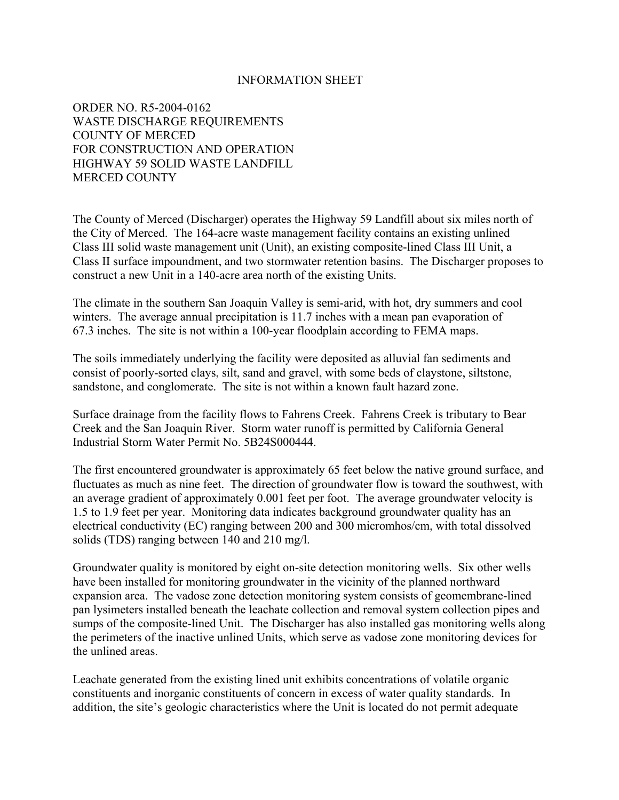#### INFORMATION SHEET

ORDER NO. R5-2004-0162 WASTE DISCHARGE REQUIREMENTS COUNTY OF MERCED FOR CONSTRUCTION AND OPERATION HIGHWAY 59 SOLID WASTE LANDFILL MERCED COUNTY

The County of Merced (Discharger) operates the Highway 59 Landfill about six miles north of the City of Merced. The 164-acre waste management facility contains an existing unlined Class III solid waste management unit (Unit), an existing composite-lined Class III Unit, a Class II surface impoundment, and two stormwater retention basins. The Discharger proposes to construct a new Unit in a 140-acre area north of the existing Units.

The climate in the southern San Joaquin Valley is semi-arid, with hot, dry summers and cool winters. The average annual precipitation is 11.7 inches with a mean pan evaporation of 67.3 inches. The site is not within a 100-year floodplain according to FEMA maps.

The soils immediately underlying the facility were deposited as alluvial fan sediments and consist of poorly-sorted clays, silt, sand and gravel, with some beds of claystone, siltstone, sandstone, and conglomerate. The site is not within a known fault hazard zone.

Surface drainage from the facility flows to Fahrens Creek. Fahrens Creek is tributary to Bear Creek and the San Joaquin River. Storm water runoff is permitted by California General Industrial Storm Water Permit No. 5B24S000444.

The first encountered groundwater is approximately 65 feet below the native ground surface, and fluctuates as much as nine feet. The direction of groundwater flow is toward the southwest, with an average gradient of approximately 0.001 feet per foot. The average groundwater velocity is 1.5 to 1.9 feet per year. Monitoring data indicates background groundwater quality has an electrical conductivity (EC) ranging between 200 and 300 micromhos/cm, with total dissolved solids (TDS) ranging between 140 and 210 mg/l.

Groundwater quality is monitored by eight on-site detection monitoring wells. Six other wells have been installed for monitoring groundwater in the vicinity of the planned northward expansion area. The vadose zone detection monitoring system consists of geomembrane-lined pan lysimeters installed beneath the leachate collection and removal system collection pipes and sumps of the composite-lined Unit. The Discharger has also installed gas monitoring wells along the perimeters of the inactive unlined Units, which serve as vadose zone monitoring devices for the unlined areas.

Leachate generated from the existing lined unit exhibits concentrations of volatile organic constituents and inorganic constituents of concern in excess of water quality standards. In addition, the site's geologic characteristics where the Unit is located do not permit adequate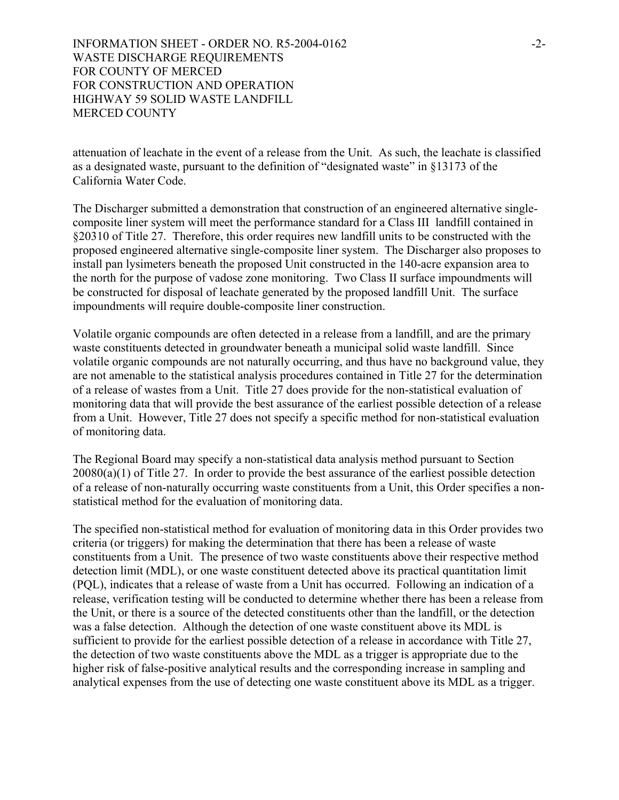attenuation of leachate in the event of a release from the Unit. As such, the leachate is classified as a designated waste, pursuant to the definition of "designated waste" in §13173 of the California Water Code.

The Discharger submitted a demonstration that construction of an engineered alternative singlecomposite liner system will meet the performance standard for a Class III landfill contained in §20310 of Title 27. Therefore, this order requires new landfill units to be constructed with the proposed engineered alternative single-composite liner system. The Discharger also proposes to install pan lysimeters beneath the proposed Unit constructed in the 140-acre expansion area to the north for the purpose of vadose zone monitoring. Two Class II surface impoundments will be constructed for disposal of leachate generated by the proposed landfill Unit. The surface impoundments will require double-composite liner construction.

Volatile organic compounds are often detected in a release from a landfill, and are the primary waste constituents detected in groundwater beneath a municipal solid waste landfill. Since volatile organic compounds are not naturally occurring, and thus have no background value, they are not amenable to the statistical analysis procedures contained in Title 27 for the determination of a release of wastes from a Unit. Title 27 does provide for the non-statistical evaluation of monitoring data that will provide the best assurance of the earliest possible detection of a release from a Unit. However, Title 27 does not specify a specific method for non-statistical evaluation of monitoring data.

The Regional Board may specify a non-statistical data analysis method pursuant to Section 20080(a)(1) of Title 27. In order to provide the best assurance of the earliest possible detection of a release of non-naturally occurring waste constituents from a Unit, this Order specifies a nonstatistical method for the evaluation of monitoring data.

The specified non-statistical method for evaluation of monitoring data in this Order provides two criteria (or triggers) for making the determination that there has been a release of waste constituents from a Unit. The presence of two waste constituents above their respective method detection limit (MDL), or one waste constituent detected above its practical quantitation limit (PQL), indicates that a release of waste from a Unit has occurred. Following an indication of a release, verification testing will be conducted to determine whether there has been a release from the Unit, or there is a source of the detected constituents other than the landfill, or the detection was a false detection. Although the detection of one waste constituent above its MDL is sufficient to provide for the earliest possible detection of a release in accordance with Title 27, the detection of two waste constituents above the MDL as a trigger is appropriate due to the higher risk of false-positive analytical results and the corresponding increase in sampling and analytical expenses from the use of detecting one waste constituent above its MDL as a trigger.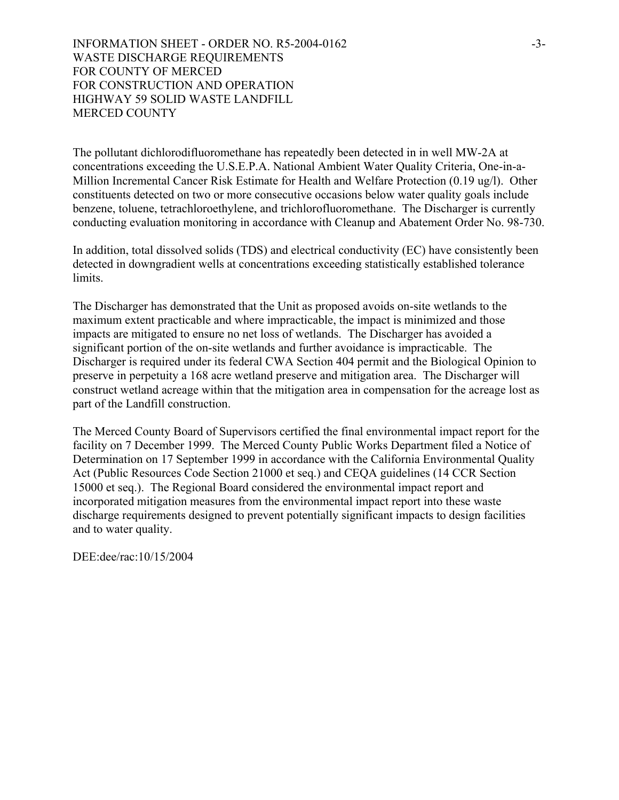INFORMATION SHEET - ORDER NO. R5-2004-0162 WASTE DISCHARGE REQUIREMENTS FOR COUNTY OF MERCED FOR CONSTRUCTION AND OPERATION HIGHWAY 59 SOLID WASTE LANDFILL MERCED COUNTY

The pollutant dichlorodifluoromethane has repeatedly been detected in in well MW-2A at concentrations exceeding the U.S.E.P.A. National Ambient Water Quality Criteria, One-in-a-Million Incremental Cancer Risk Estimate for Health and Welfare Protection (0.19 ug/l). Other constituents detected on two or more consecutive occasions below water quality goals include benzene, toluene, tetrachloroethylene, and trichlorofluoromethane. The Discharger is currently conducting evaluation monitoring in accordance with Cleanup and Abatement Order No. 98-730.

In addition, total dissolved solids (TDS) and electrical conductivity (EC) have consistently been detected in downgradient wells at concentrations exceeding statistically established tolerance limits.

The Discharger has demonstrated that the Unit as proposed avoids on-site wetlands to the maximum extent practicable and where impracticable, the impact is minimized and those impacts are mitigated to ensure no net loss of wetlands. The Discharger has avoided a significant portion of the on-site wetlands and further avoidance is impracticable. The Discharger is required under its federal CWA Section 404 permit and the Biological Opinion to preserve in perpetuity a 168 acre wetland preserve and mitigation area. The Discharger will construct wetland acreage within that the mitigation area in compensation for the acreage lost as part of the Landfill construction.

The Merced County Board of Supervisors certified the final environmental impact report for the facility on 7 December 1999. The Merced County Public Works Department filed a Notice of Determination on 17 September 1999 in accordance with the California Environmental Quality Act (Public Resources Code Section 21000 et seq.) and CEQA guidelines (14 CCR Section 15000 et seq.). The Regional Board considered the environmental impact report and incorporated mitigation measures from the environmental impact report into these waste discharge requirements designed to prevent potentially significant impacts to design facilities and to water quality.

DEE:dee/rac:10/15/2004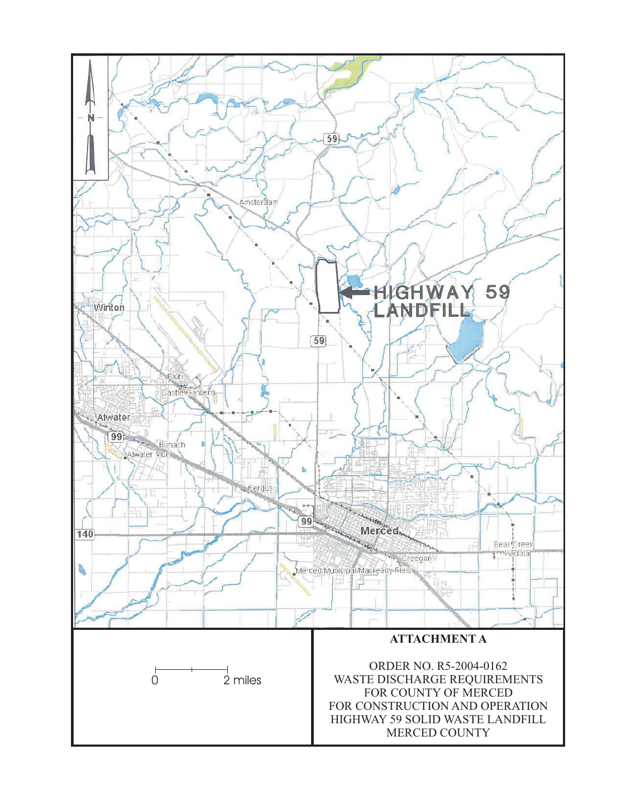